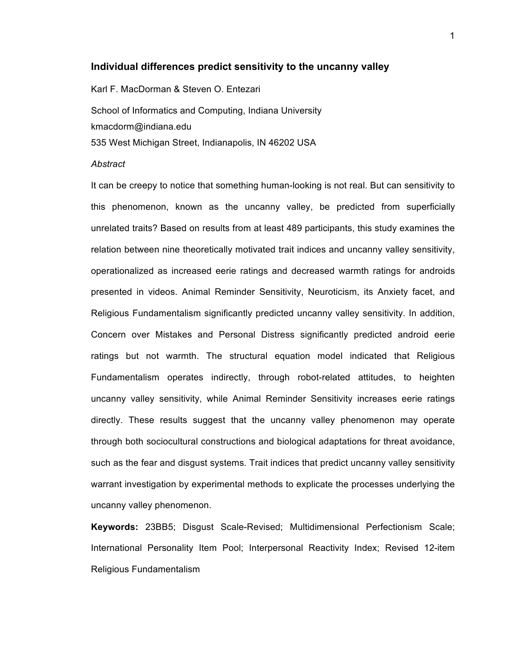### **Individual differences predict sensitivity to the uncanny valley**

Karl F. MacDorman & Steven O. Entezari

School of Informatics and Computing, Indiana University kmacdorm@indiana.edu 535 West Michigan Street, Indianapolis, IN 46202 USA

#### *Abstract*

It can be creepy to notice that something human-looking is not real. But can sensitivity to this phenomenon, known as the uncanny valley, be predicted from superficially unrelated traits? Based on results from at least 489 participants, this study examines the relation between nine theoretically motivated trait indices and uncanny valley sensitivity, operationalized as increased eerie ratings and decreased warmth ratings for androids presented in videos. Animal Reminder Sensitivity, Neuroticism, its Anxiety facet, and Religious Fundamentalism significantly predicted uncanny valley sensitivity. In addition, Concern over Mistakes and Personal Distress significantly predicted android eerie ratings but not warmth. The structural equation model indicated that Religious Fundamentalism operates indirectly, through robot-related attitudes, to heighten uncanny valley sensitivity, while Animal Reminder Sensitivity increases eerie ratings directly. These results suggest that the uncanny valley phenomenon may operate through both sociocultural constructions and biological adaptations for threat avoidance, such as the fear and disgust systems. Trait indices that predict uncanny valley sensitivity warrant investigation by experimental methods to explicate the processes underlying the uncanny valley phenomenon.

**Keywords:** 23BB5; Disgust Scale-Revised; Multidimensional Perfectionism Scale; International Personality Item Pool; Interpersonal Reactivity Index; Revised 12-item Religious Fundamentalism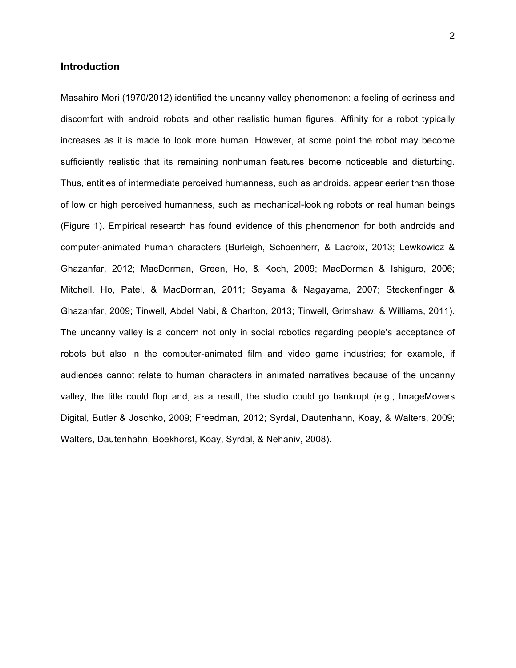### **Introduction**

Masahiro Mori (1970/2012) identified the uncanny valley phenomenon: a feeling of eeriness and discomfort with android robots and other realistic human figures. Affinity for a robot typically increases as it is made to look more human. However, at some point the robot may become sufficiently realistic that its remaining nonhuman features become noticeable and disturbing. Thus, entities of intermediate perceived humanness, such as androids, appear eerier than those of low or high perceived humanness, such as mechanical-looking robots or real human beings (Figure 1). Empirical research has found evidence of this phenomenon for both androids and computer-animated human characters (Burleigh, Schoenherr, & Lacroix, 2013; Lewkowicz & Ghazanfar, 2012; MacDorman, Green, Ho, & Koch, 2009; MacDorman & Ishiguro, 2006; Mitchell, Ho, Patel, & MacDorman, 2011; Seyama & Nagayama, 2007; Steckenfinger & Ghazanfar, 2009; Tinwell, Abdel Nabi, & Charlton, 2013; Tinwell, Grimshaw, & Williams, 2011). The uncanny valley is a concern not only in social robotics regarding people's acceptance of robots but also in the computer-animated film and video game industries; for example, if audiences cannot relate to human characters in animated narratives because of the uncanny valley, the title could flop and, as a result, the studio could go bankrupt (e.g., ImageMovers Digital, Butler & Joschko, 2009; Freedman, 2012; Syrdal, Dautenhahn, Koay, & Walters, 2009; Walters, Dautenhahn, Boekhorst, Koay, Syrdal, & Nehaniv, 2008).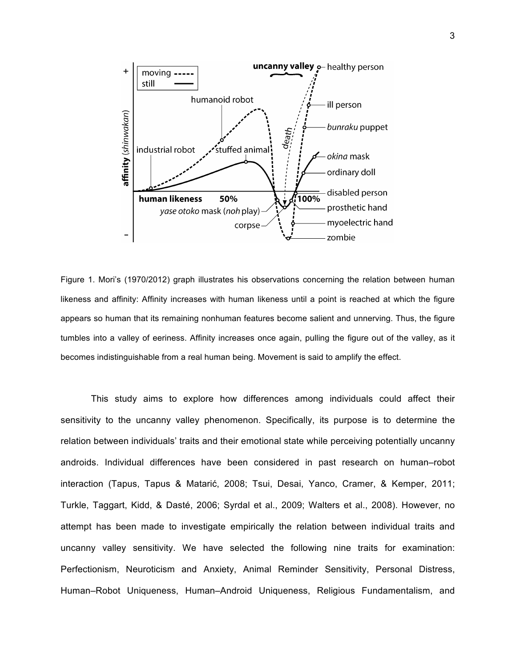

Figure 1. Mori's (1970/2012) graph illustrates his observations concerning the relation between human likeness and affinity: Affinity increases with human likeness until a point is reached at which the figure appears so human that its remaining nonhuman features become salient and unnerving. Thus, the figure tumbles into a valley of eeriness. Affinity increases once again, pulling the figure out of the valley, as it becomes indistinguishable from a real human being. Movement is said to amplify the effect.

This study aims to explore how differences among individuals could affect their sensitivity to the uncanny valley phenomenon. Specifically, its purpose is to determine the relation between individuals' traits and their emotional state while perceiving potentially uncanny androids. Individual differences have been considered in past research on human–robot interaction (Tapus, Tapus & Matarić, 2008; Tsui, Desai, Yanco, Cramer, & Kemper, 2011; Turkle, Taggart, Kidd, & Dasté, 2006; Syrdal et al., 2009; Walters et al., 2008). However, no attempt has been made to investigate empirically the relation between individual traits and uncanny valley sensitivity. We have selected the following nine traits for examination: Perfectionism, Neuroticism and Anxiety, Animal Reminder Sensitivity, Personal Distress, Human–Robot Uniqueness, Human–Android Uniqueness, Religious Fundamentalism, and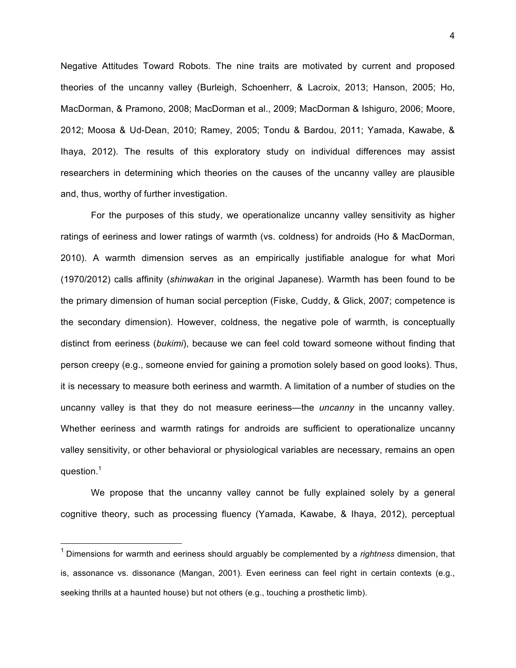Negative Attitudes Toward Robots. The nine traits are motivated by current and proposed theories of the uncanny valley (Burleigh, Schoenherr, & Lacroix, 2013; Hanson, 2005; Ho, MacDorman, & Pramono, 2008; MacDorman et al., 2009; MacDorman & Ishiguro, 2006; Moore, 2012; Moosa & Ud-Dean, 2010; Ramey, 2005; Tondu & Bardou, 2011; Yamada, Kawabe, & Ihaya, 2012). The results of this exploratory study on individual differences may assist researchers in determining which theories on the causes of the uncanny valley are plausible and, thus, worthy of further investigation.

For the purposes of this study, we operationalize uncanny valley sensitivity as higher ratings of eeriness and lower ratings of warmth (vs. coldness) for androids (Ho & MacDorman, 2010). A warmth dimension serves as an empirically justifiable analogue for what Mori (1970/2012) calls affinity (*shinwakan* in the original Japanese). Warmth has been found to be the primary dimension of human social perception (Fiske, Cuddy, & Glick, 2007; competence is the secondary dimension). However, coldness, the negative pole of warmth, is conceptually distinct from eeriness (*bukimi*), because we can feel cold toward someone without finding that person creepy (e.g., someone envied for gaining a promotion solely based on good looks). Thus, it is necessary to measure both eeriness and warmth. A limitation of a number of studies on the uncanny valley is that they do not measure eeriness—the *uncanny* in the uncanny valley. Whether eeriness and warmth ratings for androids are sufficient to operationalize uncanny valley sensitivity, or other behavioral or physiological variables are necessary, remains an open question.<sup>1</sup>

We propose that the uncanny valley cannot be fully explained solely by a general cognitive theory, such as processing fluency (Yamada, Kawabe, & Ihaya, 2012), perceptual

 

<sup>1</sup> Dimensions for warmth and eeriness should arguably be complemented by a *rightness* dimension, that is, assonance vs. dissonance (Mangan, 2001). Even eeriness can feel right in certain contexts (e.g., seeking thrills at a haunted house) but not others (e.g., touching a prosthetic limb).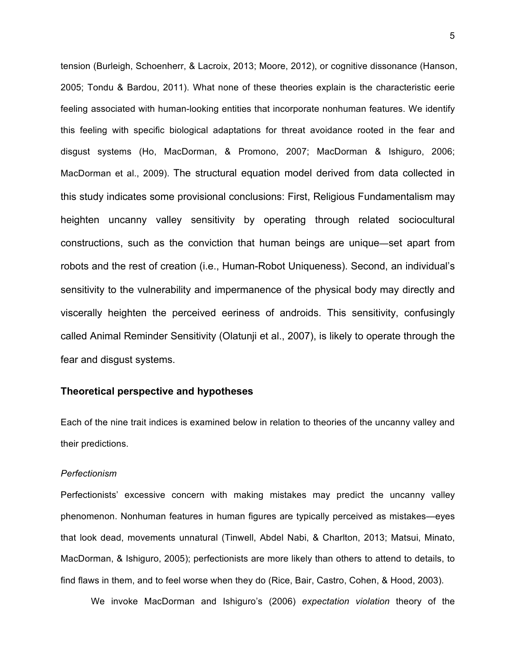tension (Burleigh, Schoenherr, & Lacroix, 2013; Moore, 2012), or cognitive dissonance (Hanson, 2005; Tondu & Bardou, 2011). What none of these theories explain is the characteristic eerie feeling associated with human-looking entities that incorporate nonhuman features. We identify this feeling with specific biological adaptations for threat avoidance rooted in the fear and disgust systems (Ho, MacDorman, & Promono, 2007; MacDorman & Ishiguro, 2006; MacDorman et al., 2009). The structural equation model derived from data collected in this study indicates some provisional conclusions: First, Religious Fundamentalism may heighten uncanny valley sensitivity by operating through related sociocultural constructions, such as the conviction that human beings are unique—set apart from robots and the rest of creation (i.e., Human-Robot Uniqueness). Second, an individual's sensitivity to the vulnerability and impermanence of the physical body may directly and viscerally heighten the perceived eeriness of androids. This sensitivity, confusingly called Animal Reminder Sensitivity (Olatunji et al., 2007), is likely to operate through the fear and disgust systems.

## **Theoretical perspective and hypotheses**

Each of the nine trait indices is examined below in relation to theories of the uncanny valley and their predictions.

### *Perfectionism*

Perfectionists' excessive concern with making mistakes may predict the uncanny valley phenomenon. Nonhuman features in human figures are typically perceived as mistakes—eyes that look dead, movements unnatural (Tinwell, Abdel Nabi, & Charlton, 2013; Matsui, Minato, MacDorman, & Ishiguro, 2005); perfectionists are more likely than others to attend to details, to find flaws in them, and to feel worse when they do (Rice, Bair, Castro, Cohen, & Hood, 2003).

We invoke MacDorman and Ishiguro's (2006) *expectation violation* theory of the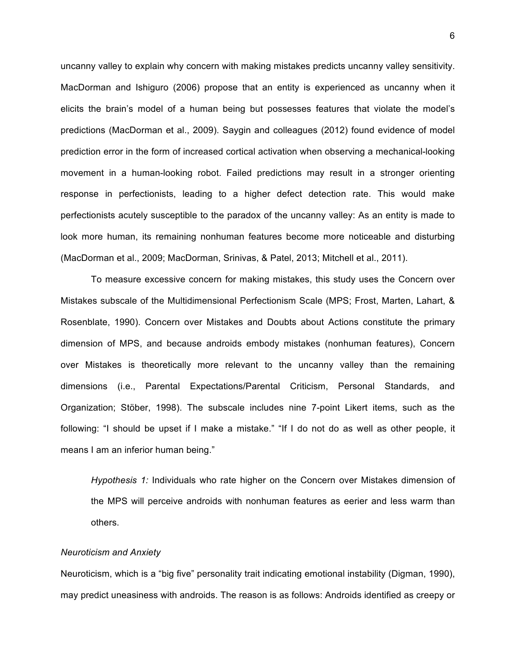uncanny valley to explain why concern with making mistakes predicts uncanny valley sensitivity. MacDorman and Ishiguro (2006) propose that an entity is experienced as uncanny when it elicits the brain's model of a human being but possesses features that violate the model's predictions (MacDorman et al., 2009). Saygin and colleagues (2012) found evidence of model prediction error in the form of increased cortical activation when observing a mechanical-looking movement in a human-looking robot. Failed predictions may result in a stronger orienting response in perfectionists, leading to a higher defect detection rate. This would make perfectionists acutely susceptible to the paradox of the uncanny valley: As an entity is made to look more human, its remaining nonhuman features become more noticeable and disturbing (MacDorman et al., 2009; MacDorman, Srinivas, & Patel, 2013; Mitchell et al., 2011).

To measure excessive concern for making mistakes, this study uses the Concern over Mistakes subscale of the Multidimensional Perfectionism Scale (MPS; Frost, Marten, Lahart, & Rosenblate, 1990). Concern over Mistakes and Doubts about Actions constitute the primary dimension of MPS, and because androids embody mistakes (nonhuman features), Concern over Mistakes is theoretically more relevant to the uncanny valley than the remaining dimensions (i.e., Parental Expectations/Parental Criticism, Personal Standards, and Organization; Stöber, 1998). The subscale includes nine 7-point Likert items, such as the following: "I should be upset if I make a mistake." "If I do not do as well as other people, it means I am an inferior human being."

*Hypothesis 1:* Individuals who rate higher on the Concern over Mistakes dimension of the MPS will perceive androids with nonhuman features as eerier and less warm than others.

### *Neuroticism and Anxiety*

Neuroticism, which is a "big five" personality trait indicating emotional instability (Digman, 1990), may predict uneasiness with androids. The reason is as follows: Androids identified as creepy or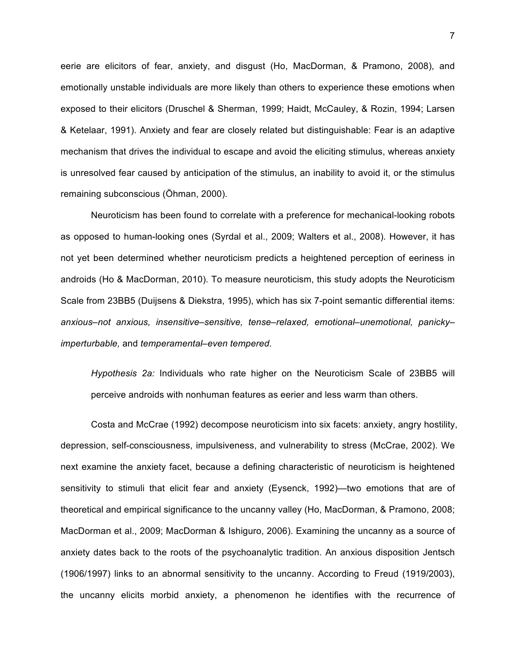eerie are elicitors of fear, anxiety, and disgust (Ho, MacDorman, & Pramono, 2008), and emotionally unstable individuals are more likely than others to experience these emotions when exposed to their elicitors (Druschel & Sherman, 1999; Haidt, McCauley, & Rozin, 1994; Larsen & Ketelaar, 1991). Anxiety and fear are closely related but distinguishable: Fear is an adaptive mechanism that drives the individual to escape and avoid the eliciting stimulus, whereas anxiety is unresolved fear caused by anticipation of the stimulus, an inability to avoid it, or the stimulus remaining subconscious (Öhman, 2000).

Neuroticism has been found to correlate with a preference for mechanical-looking robots as opposed to human-looking ones (Syrdal et al., 2009; Walters et al., 2008). However, it has not yet been determined whether neuroticism predicts a heightened perception of eeriness in androids (Ho & MacDorman, 2010). To measure neuroticism, this study adopts the Neuroticism Scale from 23BB5 (Duijsens & Diekstra, 1995), which has six 7-point semantic differential items: *anxious–not anxious, insensitive–sensitive, tense–relaxed, emotional–unemotional, panicky– imperturbable,* and *temperamental–even tempered.*

*Hypothesis 2a:* Individuals who rate higher on the Neuroticism Scale of 23BB5 will perceive androids with nonhuman features as eerier and less warm than others.

Costa and McCrae (1992) decompose neuroticism into six facets: anxiety, angry hostility, depression, self-consciousness, impulsiveness, and vulnerability to stress (McCrae, 2002). We next examine the anxiety facet, because a defining characteristic of neuroticism is heightened sensitivity to stimuli that elicit fear and anxiety (Eysenck, 1992)—two emotions that are of theoretical and empirical significance to the uncanny valley (Ho, MacDorman, & Pramono, 2008; MacDorman et al., 2009; MacDorman & Ishiguro, 2006). Examining the uncanny as a source of anxiety dates back to the roots of the psychoanalytic tradition. An anxious disposition Jentsch (1906/1997) links to an abnormal sensitivity to the uncanny. According to Freud (1919/2003), the uncanny elicits morbid anxiety, a phenomenon he identifies with the recurrence of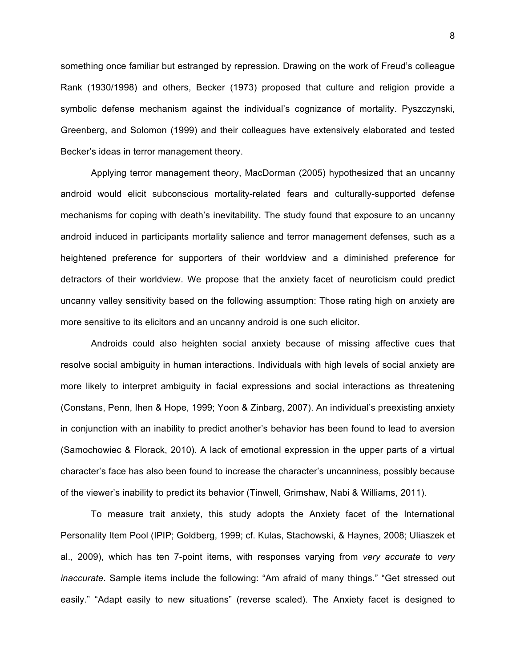something once familiar but estranged by repression. Drawing on the work of Freud's colleague Rank (1930/1998) and others, Becker (1973) proposed that culture and religion provide a symbolic defense mechanism against the individual's cognizance of mortality. Pyszczynski, Greenberg, and Solomon (1999) and their colleagues have extensively elaborated and tested Becker's ideas in terror management theory.

Applying terror management theory, MacDorman (2005) hypothesized that an uncanny android would elicit subconscious mortality-related fears and culturally-supported defense mechanisms for coping with death's inevitability. The study found that exposure to an uncanny android induced in participants mortality salience and terror management defenses, such as a heightened preference for supporters of their worldview and a diminished preference for detractors of their worldview. We propose that the anxiety facet of neuroticism could predict uncanny valley sensitivity based on the following assumption: Those rating high on anxiety are more sensitive to its elicitors and an uncanny android is one such elicitor.

Androids could also heighten social anxiety because of missing affective cues that resolve social ambiguity in human interactions. Individuals with high levels of social anxiety are more likely to interpret ambiguity in facial expressions and social interactions as threatening (Constans, Penn, Ihen & Hope, 1999; Yoon & Zinbarg, 2007). An individual's preexisting anxiety in conjunction with an inability to predict another's behavior has been found to lead to aversion (Samochowiec & Florack, 2010). A lack of emotional expression in the upper parts of a virtual character's face has also been found to increase the character's uncanniness, possibly because of the viewer's inability to predict its behavior (Tinwell, Grimshaw, Nabi & Williams, 2011).

To measure trait anxiety, this study adopts the Anxiety facet of the International Personality Item Pool (IPIP; Goldberg, 1999; cf. Kulas, Stachowski, & Haynes, 2008; Uliaszek et al., 2009), which has ten 7-point items, with responses varying from *very accurate* to *very inaccurate*. Sample items include the following: "Am afraid of many things." "Get stressed out easily." "Adapt easily to new situations" (reverse scaled). The Anxiety facet is designed to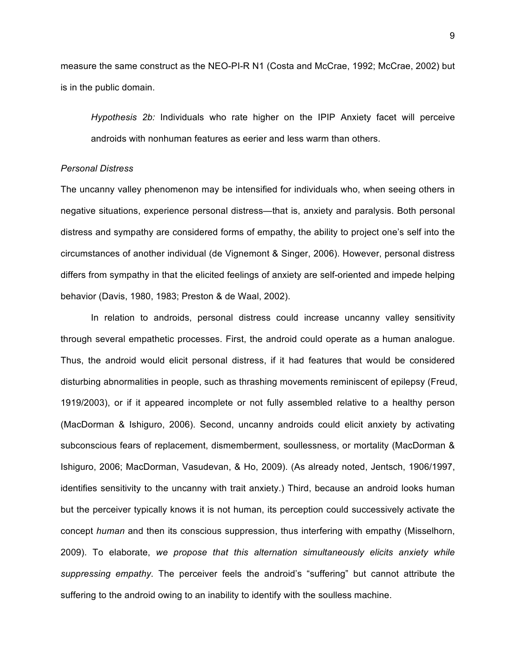measure the same construct as the NEO-PI-R N1 (Costa and McCrae, 1992; McCrae, 2002) but is in the public domain.

*Hypothesis 2b:* Individuals who rate higher on the IPIP Anxiety facet will perceive androids with nonhuman features as eerier and less warm than others.

### *Personal Distress*

The uncanny valley phenomenon may be intensified for individuals who, when seeing others in negative situations, experience personal distress—that is, anxiety and paralysis. Both personal distress and sympathy are considered forms of empathy, the ability to project one's self into the circumstances of another individual (de Vignemont & Singer, 2006). However, personal distress differs from sympathy in that the elicited feelings of anxiety are self-oriented and impede helping behavior (Davis, 1980, 1983; Preston & de Waal, 2002).

In relation to androids, personal distress could increase uncanny valley sensitivity through several empathetic processes. First, the android could operate as a human analogue. Thus, the android would elicit personal distress, if it had features that would be considered disturbing abnormalities in people, such as thrashing movements reminiscent of epilepsy (Freud, 1919/2003), or if it appeared incomplete or not fully assembled relative to a healthy person (MacDorman & Ishiguro, 2006). Second, uncanny androids could elicit anxiety by activating subconscious fears of replacement, dismemberment, soullessness, or mortality (MacDorman & Ishiguro, 2006; MacDorman, Vasudevan, & Ho, 2009). (As already noted, Jentsch, 1906/1997, identifies sensitivity to the uncanny with trait anxiety.) Third, because an android looks human but the perceiver typically knows it is not human, its perception could successively activate the concept *human* and then its conscious suppression, thus interfering with empathy (Misselhorn, 2009). To elaborate, *we propose that this alternation simultaneously elicits anxiety while suppressing empathy.* The perceiver feels the android's "suffering" but cannot attribute the suffering to the android owing to an inability to identify with the soulless machine.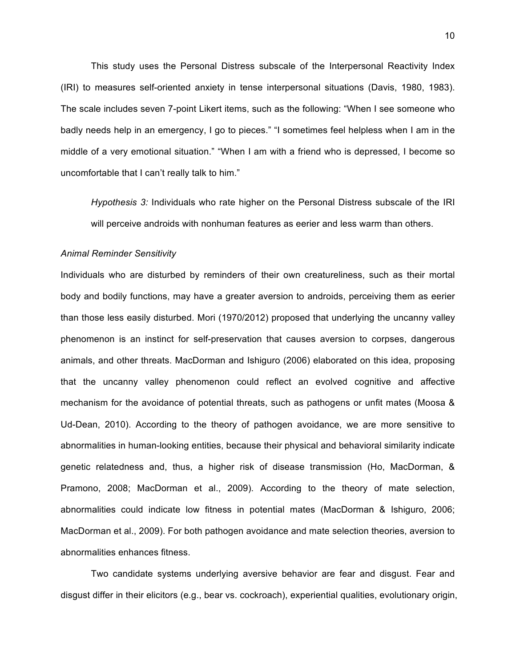This study uses the Personal Distress subscale of the Interpersonal Reactivity Index (IRI) to measures self-oriented anxiety in tense interpersonal situations (Davis, 1980, 1983). The scale includes seven 7-point Likert items, such as the following: "When I see someone who badly needs help in an emergency, I go to pieces." "I sometimes feel helpless when I am in the middle of a very emotional situation." "When I am with a friend who is depressed, I become so uncomfortable that I can't really talk to him."

*Hypothesis 3:* Individuals who rate higher on the Personal Distress subscale of the IRI will perceive androids with nonhuman features as eerier and less warm than others.

#### *Animal Reminder Sensitivity*

Individuals who are disturbed by reminders of their own creatureliness, such as their mortal body and bodily functions, may have a greater aversion to androids, perceiving them as eerier than those less easily disturbed. Mori (1970/2012) proposed that underlying the uncanny valley phenomenon is an instinct for self-preservation that causes aversion to corpses, dangerous animals, and other threats. MacDorman and Ishiguro (2006) elaborated on this idea, proposing that the uncanny valley phenomenon could reflect an evolved cognitive and affective mechanism for the avoidance of potential threats, such as pathogens or unfit mates (Moosa & Ud-Dean, 2010). According to the theory of pathogen avoidance, we are more sensitive to abnormalities in human-looking entities, because their physical and behavioral similarity indicate genetic relatedness and, thus, a higher risk of disease transmission (Ho, MacDorman, & Pramono, 2008; MacDorman et al., 2009). According to the theory of mate selection, abnormalities could indicate low fitness in potential mates (MacDorman & Ishiguro, 2006; MacDorman et al., 2009). For both pathogen avoidance and mate selection theories, aversion to abnormalities enhances fitness.

Two candidate systems underlying aversive behavior are fear and disgust. Fear and disgust differ in their elicitors (e.g., bear vs. cockroach), experiential qualities, evolutionary origin,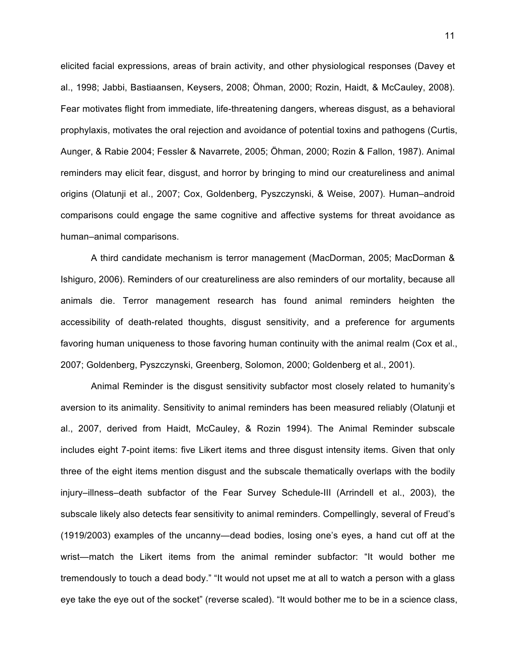elicited facial expressions, areas of brain activity, and other physiological responses (Davey et al., 1998; Jabbi, Bastiaansen, Keysers, 2008; Öhman, 2000; Rozin, Haidt, & McCauley, 2008). Fear motivates flight from immediate, life-threatening dangers, whereas disgust, as a behavioral prophylaxis, motivates the oral rejection and avoidance of potential toxins and pathogens (Curtis, Aunger, & Rabie 2004; Fessler & Navarrete, 2005; Öhman, 2000; Rozin & Fallon, 1987). Animal reminders may elicit fear, disgust, and horror by bringing to mind our creatureliness and animal origins (Olatunji et al., 2007; Cox, Goldenberg, Pyszczynski, & Weise, 2007). Human–android comparisons could engage the same cognitive and affective systems for threat avoidance as human–animal comparisons.

A third candidate mechanism is terror management (MacDorman, 2005; MacDorman & Ishiguro, 2006). Reminders of our creatureliness are also reminders of our mortality, because all animals die. Terror management research has found animal reminders heighten the accessibility of death-related thoughts, disgust sensitivity, and a preference for arguments favoring human uniqueness to those favoring human continuity with the animal realm (Cox et al., 2007; Goldenberg, Pyszczynski, Greenberg, Solomon, 2000; Goldenberg et al., 2001).

Animal Reminder is the disgust sensitivity subfactor most closely related to humanity's aversion to its animality. Sensitivity to animal reminders has been measured reliably (Olatunji et al., 2007, derived from Haidt, McCauley, & Rozin 1994). The Animal Reminder subscale includes eight 7-point items: five Likert items and three disgust intensity items. Given that only three of the eight items mention disgust and the subscale thematically overlaps with the bodily injury–illness–death subfactor of the Fear Survey Schedule-III (Arrindell et al., 2003), the subscale likely also detects fear sensitivity to animal reminders. Compellingly, several of Freud's (1919/2003) examples of the uncanny—dead bodies, losing one's eyes, a hand cut off at the wrist—match the Likert items from the animal reminder subfactor: "It would bother me tremendously to touch a dead body." "It would not upset me at all to watch a person with a glass eye take the eye out of the socket" (reverse scaled). "It would bother me to be in a science class,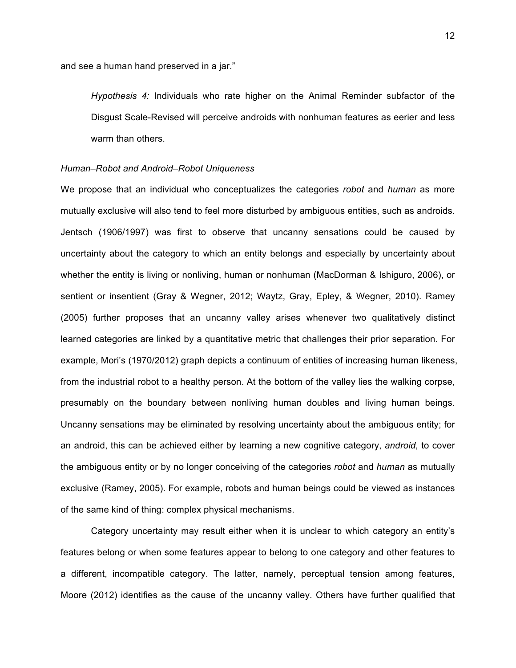and see a human hand preserved in a jar."

*Hypothesis 4:* Individuals who rate higher on the Animal Reminder subfactor of the Disgust Scale-Revised will perceive androids with nonhuman features as eerier and less warm than others.

#### *Human–Robot and Android–Robot Uniqueness*

We propose that an individual who conceptualizes the categories *robot* and *human* as more mutually exclusive will also tend to feel more disturbed by ambiguous entities, such as androids. Jentsch (1906/1997) was first to observe that uncanny sensations could be caused by uncertainty about the category to which an entity belongs and especially by uncertainty about whether the entity is living or nonliving, human or nonhuman (MacDorman & Ishiguro, 2006), or sentient or insentient (Gray & Wegner, 2012; Waytz, Gray, Epley, & Wegner, 2010). Ramey (2005) further proposes that an uncanny valley arises whenever two qualitatively distinct learned categories are linked by a quantitative metric that challenges their prior separation. For example, Mori's (1970/2012) graph depicts a continuum of entities of increasing human likeness, from the industrial robot to a healthy person. At the bottom of the valley lies the walking corpse, presumably on the boundary between nonliving human doubles and living human beings. Uncanny sensations may be eliminated by resolving uncertainty about the ambiguous entity; for an android, this can be achieved either by learning a new cognitive category, *android,* to cover the ambiguous entity or by no longer conceiving of the categories *robot* and *human* as mutually exclusive (Ramey, 2005). For example, robots and human beings could be viewed as instances of the same kind of thing: complex physical mechanisms.

Category uncertainty may result either when it is unclear to which category an entity's features belong or when some features appear to belong to one category and other features to a different, incompatible category. The latter, namely, perceptual tension among features, Moore (2012) identifies as the cause of the uncanny valley. Others have further qualified that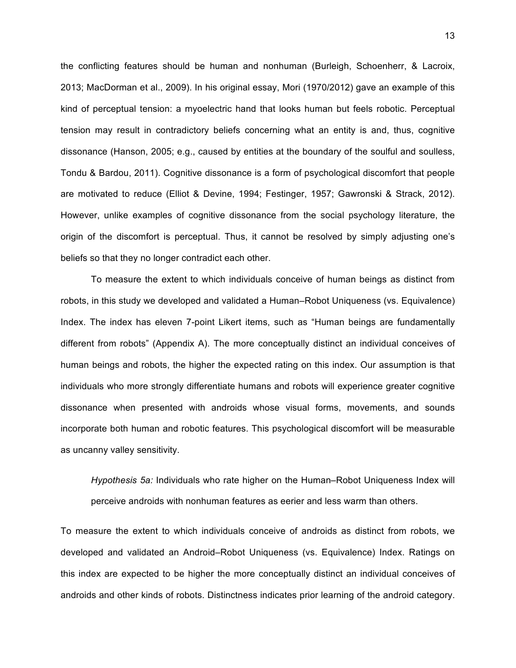the conflicting features should be human and nonhuman (Burleigh, Schoenherr, & Lacroix, 2013; MacDorman et al., 2009). In his original essay, Mori (1970/2012) gave an example of this kind of perceptual tension: a myoelectric hand that looks human but feels robotic. Perceptual tension may result in contradictory beliefs concerning what an entity is and, thus, cognitive dissonance (Hanson, 2005; e.g., caused by entities at the boundary of the soulful and soulless, Tondu & Bardou, 2011). Cognitive dissonance is a form of psychological discomfort that people are motivated to reduce (Elliot & Devine, 1994; Festinger, 1957; Gawronski & Strack, 2012). However, unlike examples of cognitive dissonance from the social psychology literature, the origin of the discomfort is perceptual. Thus, it cannot be resolved by simply adjusting one's beliefs so that they no longer contradict each other.

To measure the extent to which individuals conceive of human beings as distinct from robots, in this study we developed and validated a Human–Robot Uniqueness (vs. Equivalence) Index. The index has eleven 7-point Likert items, such as "Human beings are fundamentally different from robots" (Appendix A). The more conceptually distinct an individual conceives of human beings and robots, the higher the expected rating on this index. Our assumption is that individuals who more strongly differentiate humans and robots will experience greater cognitive dissonance when presented with androids whose visual forms, movements, and sounds incorporate both human and robotic features. This psychological discomfort will be measurable as uncanny valley sensitivity.

*Hypothesis 5a:* Individuals who rate higher on the Human–Robot Uniqueness Index will perceive androids with nonhuman features as eerier and less warm than others.

To measure the extent to which individuals conceive of androids as distinct from robots, we developed and validated an Android–Robot Uniqueness (vs. Equivalence) Index. Ratings on this index are expected to be higher the more conceptually distinct an individual conceives of androids and other kinds of robots. Distinctness indicates prior learning of the android category.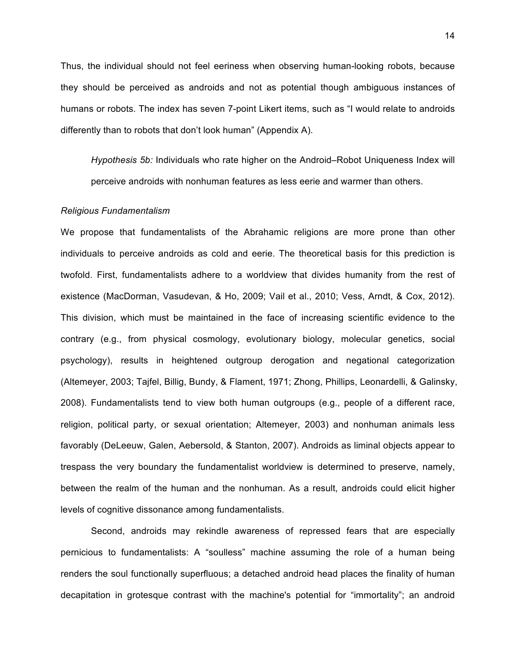Thus, the individual should not feel eeriness when observing human-looking robots, because they should be perceived as androids and not as potential though ambiguous instances of humans or robots. The index has seven 7-point Likert items, such as "I would relate to androids differently than to robots that don't look human" (Appendix A).

*Hypothesis 5b:* Individuals who rate higher on the Android–Robot Uniqueness Index will perceive androids with nonhuman features as less eerie and warmer than others.

#### *Religious Fundamentalism*

We propose that fundamentalists of the Abrahamic religions are more prone than other individuals to perceive androids as cold and eerie. The theoretical basis for this prediction is twofold. First, fundamentalists adhere to a worldview that divides humanity from the rest of existence (MacDorman, Vasudevan, & Ho, 2009; Vail et al., 2010; Vess, Arndt, & Cox, 2012). This division, which must be maintained in the face of increasing scientific evidence to the contrary (e.g., from physical cosmology, evolutionary biology, molecular genetics, social psychology), results in heightened outgroup derogation and negational categorization (Altemeyer, 2003; Tajfel, Billig, Bundy, & Flament, 1971; Zhong, Phillips, Leonardelli, & Galinsky, 2008). Fundamentalists tend to view both human outgroups (e.g., people of a different race, religion, political party, or sexual orientation; Altemeyer, 2003) and nonhuman animals less favorably (DeLeeuw, Galen, Aebersold, & Stanton, 2007). Androids as liminal objects appear to trespass the very boundary the fundamentalist worldview is determined to preserve, namely, between the realm of the human and the nonhuman. As a result, androids could elicit higher levels of cognitive dissonance among fundamentalists.

Second, androids may rekindle awareness of repressed fears that are especially pernicious to fundamentalists: A "soulless" machine assuming the role of a human being renders the soul functionally superfluous; a detached android head places the finality of human decapitation in grotesque contrast with the machine's potential for "immortality"; an android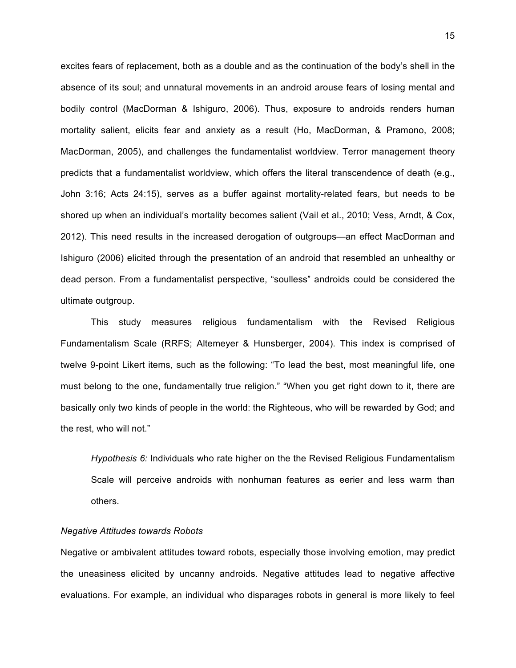excites fears of replacement, both as a double and as the continuation of the body's shell in the absence of its soul; and unnatural movements in an android arouse fears of losing mental and bodily control (MacDorman & Ishiguro, 2006). Thus, exposure to androids renders human mortality salient, elicits fear and anxiety as a result (Ho, MacDorman, & Pramono, 2008; MacDorman, 2005), and challenges the fundamentalist worldview. Terror management theory predicts that a fundamentalist worldview, which offers the literal transcendence of death (e.g., John 3:16; Acts 24:15), serves as a buffer against mortality-related fears, but needs to be shored up when an individual's mortality becomes salient (Vail et al., 2010; Vess, Arndt, & Cox, 2012). This need results in the increased derogation of outgroups—an effect MacDorman and Ishiguro (2006) elicited through the presentation of an android that resembled an unhealthy or dead person. From a fundamentalist perspective, "soulless" androids could be considered the ultimate outgroup.

This study measures religious fundamentalism with the Revised Religious Fundamentalism Scale (RRFS; Altemeyer & Hunsberger, 2004). This index is comprised of twelve 9-point Likert items, such as the following: "To lead the best, most meaningful life, one must belong to the one, fundamentally true religion." "When you get right down to it, there are basically only two kinds of people in the world: the Righteous, who will be rewarded by God; and the rest, who will not."

*Hypothesis 6:* Individuals who rate higher on the the Revised Religious Fundamentalism Scale will perceive androids with nonhuman features as eerier and less warm than others.

### *Negative Attitudes towards Robots*

Negative or ambivalent attitudes toward robots, especially those involving emotion, may predict the uneasiness elicited by uncanny androids. Negative attitudes lead to negative affective evaluations. For example, an individual who disparages robots in general is more likely to feel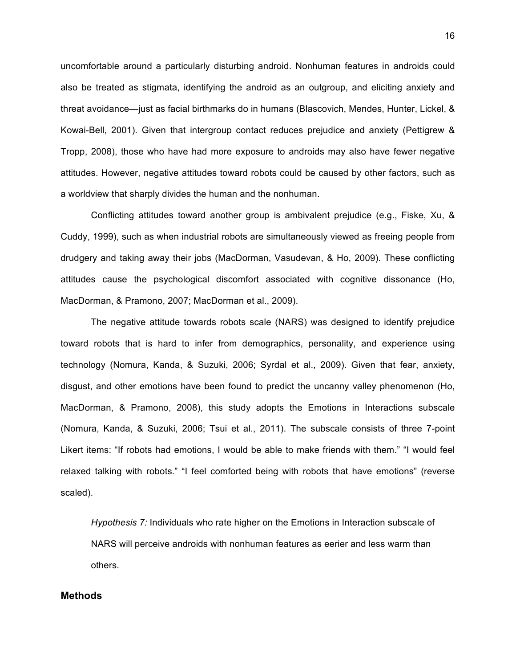uncomfortable around a particularly disturbing android. Nonhuman features in androids could also be treated as stigmata, identifying the android as an outgroup, and eliciting anxiety and threat avoidance—just as facial birthmarks do in humans (Blascovich, Mendes, Hunter, Lickel, & Kowai-Bell, 2001). Given that intergroup contact reduces prejudice and anxiety (Pettigrew & Tropp, 2008), those who have had more exposure to androids may also have fewer negative attitudes. However, negative attitudes toward robots could be caused by other factors, such as a worldview that sharply divides the human and the nonhuman.

Conflicting attitudes toward another group is ambivalent prejudice (e.g., Fiske, Xu, & Cuddy, 1999), such as when industrial robots are simultaneously viewed as freeing people from drudgery and taking away their jobs (MacDorman, Vasudevan, & Ho, 2009). These conflicting attitudes cause the psychological discomfort associated with cognitive dissonance (Ho, MacDorman, & Pramono, 2007; MacDorman et al., 2009).

The negative attitude towards robots scale (NARS) was designed to identify prejudice toward robots that is hard to infer from demographics, personality, and experience using technology (Nomura, Kanda, & Suzuki, 2006; Syrdal et al., 2009). Given that fear, anxiety, disgust, and other emotions have been found to predict the uncanny valley phenomenon (Ho, MacDorman, & Pramono, 2008), this study adopts the Emotions in Interactions subscale (Nomura, Kanda, & Suzuki, 2006; Tsui et al., 2011). The subscale consists of three 7-point Likert items: "If robots had emotions, I would be able to make friends with them." "I would feel relaxed talking with robots." "I feel comforted being with robots that have emotions" (reverse scaled).

*Hypothesis 7:* Individuals who rate higher on the Emotions in Interaction subscale of NARS will perceive androids with nonhuman features as eerier and less warm than others.

# **Methods**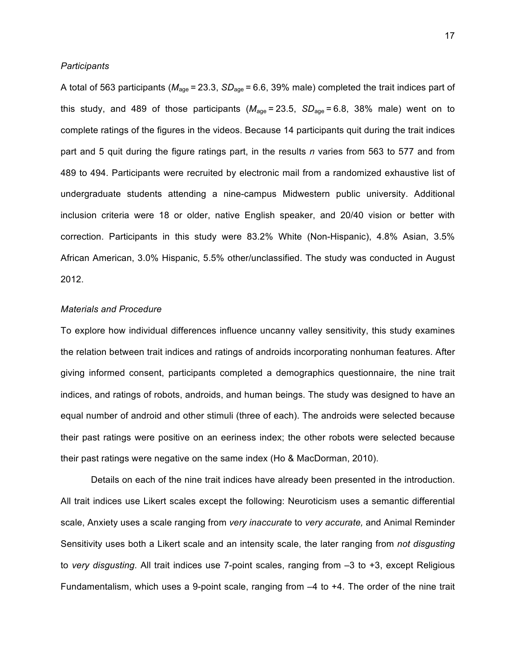#### *Participants*

A total of 563 participants (*M*age = 23.3, *SD*age = 6.6, 39% male) completed the trait indices part of this study, and 489 of those participants ( $M_{\text{age}} = 23.5$ ,  $SD_{\text{age}} = 6.8$ , 38% male) went on to complete ratings of the figures in the videos. Because 14 participants quit during the trait indices part and 5 quit during the figure ratings part, in the results *n* varies from 563 to 577 and from 489 to 494. Participants were recruited by electronic mail from a randomized exhaustive list of undergraduate students attending a nine-campus Midwestern public university. Additional inclusion criteria were 18 or older, native English speaker, and 20/40 vision or better with correction. Participants in this study were 83.2% White (Non-Hispanic), 4.8% Asian, 3.5% African American, 3.0% Hispanic, 5.5% other/unclassified. The study was conducted in August 2012.

### *Materials and Procedure*

To explore how individual differences influence uncanny valley sensitivity, this study examines the relation between trait indices and ratings of androids incorporating nonhuman features. After giving informed consent, participants completed a demographics questionnaire, the nine trait indices, and ratings of robots, androids, and human beings. The study was designed to have an equal number of android and other stimuli (three of each). The androids were selected because their past ratings were positive on an eeriness index; the other robots were selected because their past ratings were negative on the same index (Ho & MacDorman, 2010).

Details on each of the nine trait indices have already been presented in the introduction. All trait indices use Likert scales except the following: Neuroticism uses a semantic differential scale, Anxiety uses a scale ranging from *very inaccurate* to *very accurate,* and Animal Reminder Sensitivity uses both a Likert scale and an intensity scale, the later ranging from *not disgusting*  to *very disgusting*. All trait indices use 7-point scales, ranging from –3 to +3, except Religious Fundamentalism, which uses a 9-point scale, ranging from –4 to +4. The order of the nine trait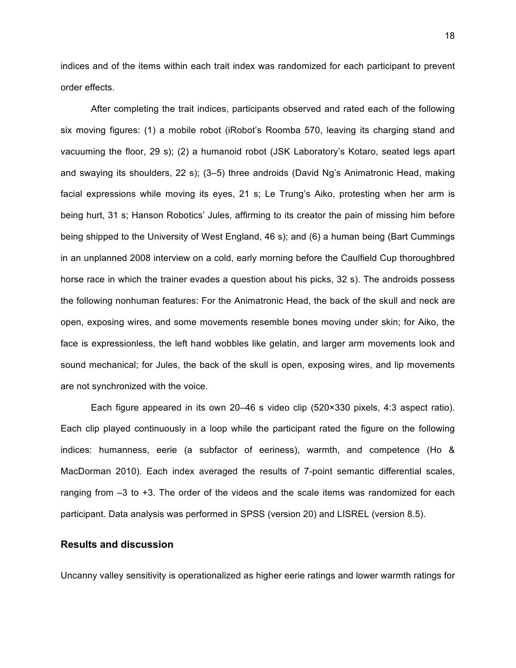indices and of the items within each trait index was randomized for each participant to prevent order effects.

After completing the trait indices, participants observed and rated each of the following six moving figures: (1) a mobile robot (iRobot's Roomba 570, leaving its charging stand and vacuuming the floor, 29 s); (2) a humanoid robot (JSK Laboratory's Kotaro, seated legs apart and swaying its shoulders, 22 s); (3–5) three androids (David Ng's Animatronic Head, making facial expressions while moving its eyes, 21 s; Le Trung's Aiko, protesting when her arm is being hurt, 31 s; Hanson Robotics' Jules, affirming to its creator the pain of missing him before being shipped to the University of West England, 46 s); and (6) a human being (Bart Cummings in an unplanned 2008 interview on a cold, early morning before the Caulfield Cup thoroughbred horse race in which the trainer evades a question about his picks, 32 s). The androids possess the following nonhuman features: For the Animatronic Head, the back of the skull and neck are open, exposing wires, and some movements resemble bones moving under skin; for Aiko, the face is expressionless, the left hand wobbles like gelatin, and larger arm movements look and sound mechanical; for Jules, the back of the skull is open, exposing wires, and lip movements are not synchronized with the voice.

Each figure appeared in its own 20–46 s video clip (520×330 pixels, 4:3 aspect ratio). Each clip played continuously in a loop while the participant rated the figure on the following indices: humanness, eerie (a subfactor of eeriness), warmth, and competence (Ho & MacDorman 2010). Each index averaged the results of 7-point semantic differential scales, ranging from –3 to +3. The order of the videos and the scale items was randomized for each participant. Data analysis was performed in SPSS (version 20) and LISREL (version 8.5).

# **Results and discussion**

Uncanny valley sensitivity is operationalized as higher eerie ratings and lower warmth ratings for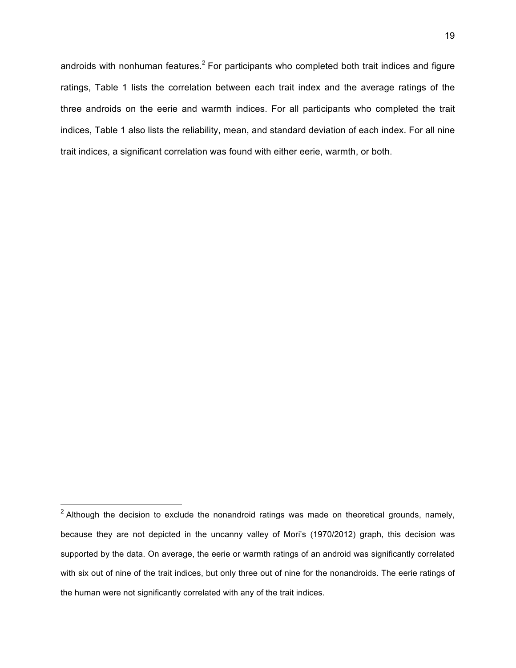androids with nonhuman features.<sup>2</sup> For participants who completed both trait indices and figure ratings, Table 1 lists the correlation between each trait index and the average ratings of the three androids on the eerie and warmth indices. For all participants who completed the trait indices, Table 1 also lists the reliability, mean, and standard deviation of each index. For all nine trait indices, a significant correlation was found with either eerie, warmth, or both.

 

 $2$  Although the decision to exclude the nonandroid ratings was made on theoretical grounds, namely, because they are not depicted in the uncanny valley of Mori's (1970/2012) graph, this decision was supported by the data. On average, the eerie or warmth ratings of an android was significantly correlated with six out of nine of the trait indices, but only three out of nine for the nonandroids. The eerie ratings of the human were not significantly correlated with any of the trait indices.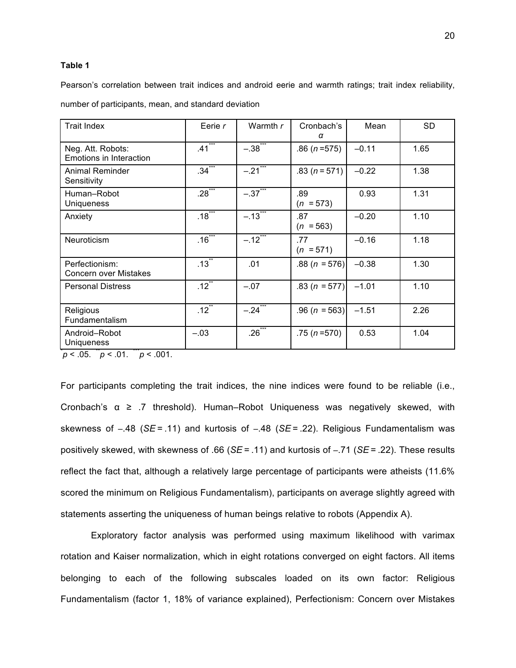### **Table 1**

Pearson's correlation between trait indices and android eerie and warmth ratings; trait index reliability,

number of participants, mean, and standard deviation

| <b>Trait Index</b>                             | Eerie r              | Warmth $r$            | Cronbach's<br>α    | Mean    | <b>SD</b> |
|------------------------------------------------|----------------------|-----------------------|--------------------|---------|-----------|
| Neg. Att. Robots:<br>Emotions in Interaction   | $.41$ <sup>***</sup> | $-.38^{\degree}$      | $.86(n=575)$       | $-0.11$ | 1.65      |
| <b>Animal Reminder</b><br>Sensitivity          | $.34$ <sup>***</sup> | $-21$ <sup>***</sup>  | $.83(n=571)$       | $-0.22$ | 1.38      |
| Human-Robot<br><b>Uniqueness</b>               | $.28***$             | $-.37$ ***            | .89<br>$(n = 573)$ | 0.93    | 1.31      |
| Anxiety                                        | $.18$ ***            | $-.13$ <sup>**</sup>  | .87<br>$(n = 563)$ | $-0.20$ | 1.10      |
| Neuroticism                                    | $.16$ ***            | $-12^{12}$            | .77<br>$(n = 571)$ | $-0.16$ | 1.18      |
| Perfectionism:<br><b>Concern over Mistakes</b> | $.13$ <sup>**</sup>  | .01                   | $.88(n = 576)$     | $-0.38$ | 1.30      |
| <b>Personal Distress</b>                       | $.12$ <sup>**</sup>  | $-.07$                | .83 ( $n = 577$ )  | $-1.01$ | 1.10      |
| Religious<br>Fundamentalism                    | $.12$ <sup>**</sup>  | $-.24$ <sup>***</sup> | $.96 (n = 563)$    | $-1.51$ | 2.26      |
| Android-Robot<br><b>Uniqueness</b>             | $-.03$               | $.26^{**}$            | $.75(n=570)$       | 0.53    | 1.04      |

 $p < .05$ .  $p < .01$ .  $p < .001$ .

For participants completing the trait indices, the nine indices were found to be reliable (i.e., Cronbach's α ≥ .7 threshold). Human–Robot Uniqueness was negatively skewed, with skewness of –.48 (*SE* = .11) and kurtosis of –.48 (*SE* = .22). Religious Fundamentalism was positively skewed, with skewness of .66 (*SE* = .11) and kurtosis of –.71 (*SE* = .22). These results reflect the fact that, although a relatively large percentage of participants were atheists (11.6% scored the minimum on Religious Fundamentalism), participants on average slightly agreed with statements asserting the uniqueness of human beings relative to robots (Appendix A).

Exploratory factor analysis was performed using maximum likelihood with varimax rotation and Kaiser normalization, which in eight rotations converged on eight factors. All items belonging to each of the following subscales loaded on its own factor: Religious Fundamentalism (factor 1, 18% of variance explained), Perfectionism: Concern over Mistakes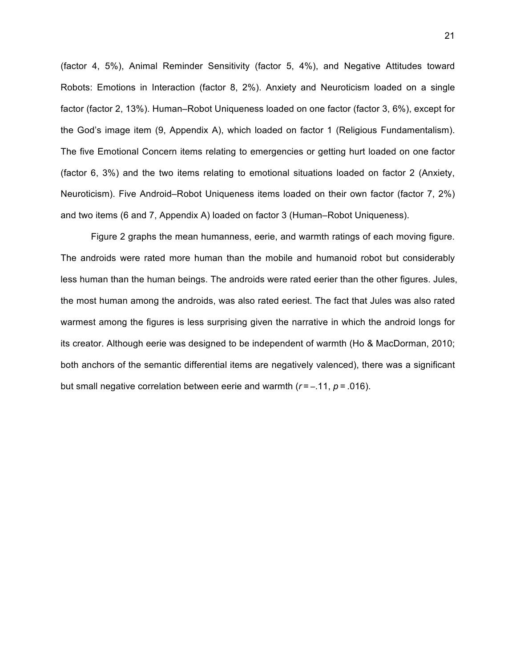(factor 4, 5%), Animal Reminder Sensitivity (factor 5, 4%), and Negative Attitudes toward Robots: Emotions in Interaction (factor 8, 2%). Anxiety and Neuroticism loaded on a single factor (factor 2, 13%). Human–Robot Uniqueness loaded on one factor (factor 3, 6%), except for the God's image item (9, Appendix A), which loaded on factor 1 (Religious Fundamentalism). The five Emotional Concern items relating to emergencies or getting hurt loaded on one factor (factor 6, 3%) and the two items relating to emotional situations loaded on factor 2 (Anxiety, Neuroticism). Five Android–Robot Uniqueness items loaded on their own factor (factor 7, 2%) and two items (6 and 7, Appendix A) loaded on factor 3 (Human–Robot Uniqueness).

Figure 2 graphs the mean humanness, eerie, and warmth ratings of each moving figure. The androids were rated more human than the mobile and humanoid robot but considerably less human than the human beings. The androids were rated eerier than the other figures. Jules, the most human among the androids, was also rated eeriest. The fact that Jules was also rated warmest among the figures is less surprising given the narrative in which the android longs for its creator. Although eerie was designed to be independent of warmth (Ho & MacDorman, 2010; both anchors of the semantic differential items are negatively valenced), there was a significant but small negative correlation between eerie and warmth  $(r = -11, p = .016)$ .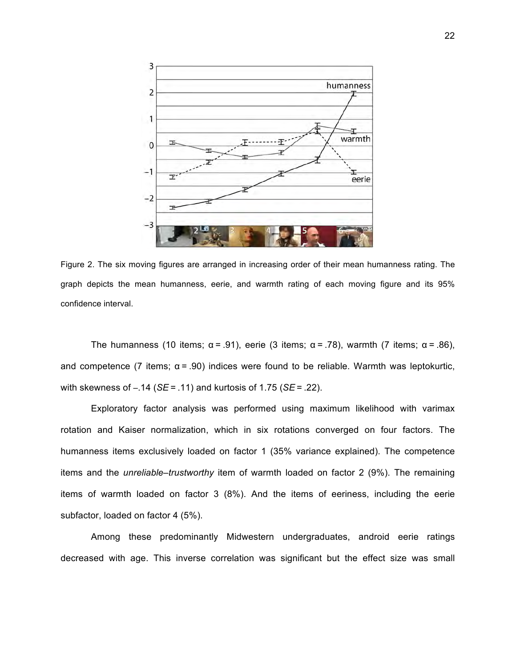

Figure 2. The six moving figures are arranged in increasing order of their mean humanness rating. The graph depicts the mean humanness, eerie, and warmth rating of each moving figure and its 95% confidence interval.

The humanness (10 items;  $α = .91$ ), eerie (3 items;  $α = .78$ ), warmth (7 items;  $α = .86$ ), and competence (7 items;  $\alpha$  = .90) indices were found to be reliable. Warmth was leptokurtic, with skewness of –.14 (*SE* = .11) and kurtosis of 1.75 (*SE* = .22).

Exploratory factor analysis was performed using maximum likelihood with varimax rotation and Kaiser normalization, which in six rotations converged on four factors. The humanness items exclusively loaded on factor 1 (35% variance explained). The competence items and the *unreliable–trustworthy* item of warmth loaded on factor 2 (9%). The remaining items of warmth loaded on factor 3 (8%). And the items of eeriness, including the eerie subfactor, loaded on factor 4 (5%).

Among these predominantly Midwestern undergraduates, android eerie ratings decreased with age. This inverse correlation was significant but the effect size was small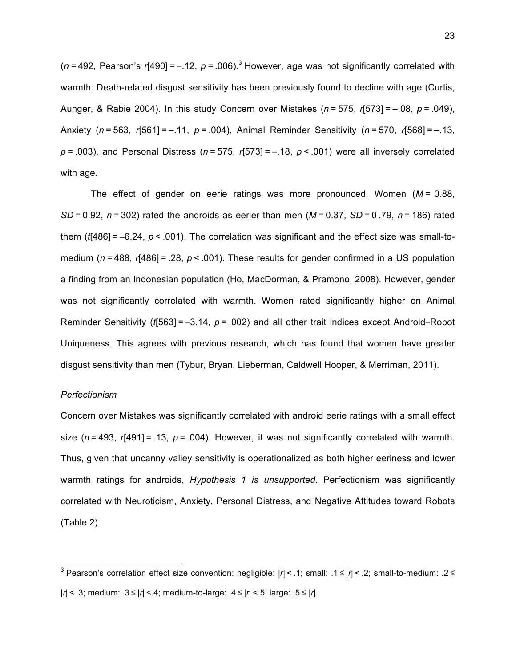( $n = 492$ , Pearson's  $r[490] = -.12$ ,  $p = .006$ ).<sup>3</sup> However, age was not significantly correlated with warmth. Death-related disgust sensitivity has been previously found to decline with age (Curtis, Aunger, & Rabie 2004). In this study Concern over Mistakes (*n* = 575, *r*[573] = –.08, *p* = .049), Anxiety (*n* = 563, *r*[561] = –.11, *p* = .004), Animal Reminder Sensitivity (*n* = 570, *r*[568] = –.13, *p* = .003), and Personal Distress (*n* = 575, *r*[573] = –.18, *p* < .001) were all inversely correlated with age.

The effect of gender on eerie ratings was more pronounced. Women (*M* =  0.88, *SD* = 0.92, *n* = 302) rated the androids as eerier than men (*M* = 0.37, *SD* = 0 .79, *n* = 186) rated them (*t*[486] = –6.24, *p* < .001). The correlation was significant and the effect size was small-tomedium (*n =* 488, *r*[486] = .28, *p* < .001). These results for gender confirmed in a US population a finding from an Indonesian population (Ho, MacDorman, & Pramono, 2008). However, gender was not significantly correlated with warmth. Women rated significantly higher on Animal Reminder Sensitivity (*t*[563] = –3.14, *p* = .002) and all other trait indices except Android–Robot Uniqueness. This agrees with previous research, which has found that women have greater disgust sensitivity than men (Tybur, Bryan, Lieberman, Caldwell Hooper, & Merriman, 2011).

## *Perfectionism*

 

Concern over Mistakes was significantly correlated with android eerie ratings with a small effect size ( $n = 493$ ,  $r[491] = .13$ ,  $p = .004$ ). However, it was not significantly correlated with warmth. Thus, given that uncanny valley sensitivity is operationalized as both higher eeriness and lower warmth ratings for androids, *Hypothesis 1 is unsupported.* Perfectionism was significantly correlated with Neuroticism, Anxiety, Personal Distress, and Negative Attitudes toward Robots (Table 2).

<sup>3</sup> Pearson's correlation effect size convention: negligible: |*r*| < .1; small: .1 ≤ |*r*| < .2; small-to-medium: .2 ≤ |*r*| < .3; medium: .3 ≤ |*r*| <.4; medium-to-large: .4 ≤ *|r*| <.5; large: .5 ≤ |*r*|*.*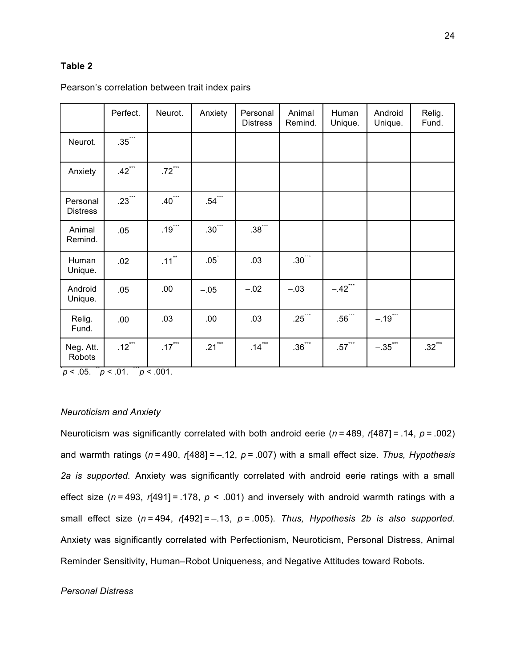# **Table 2**

|                             | Perfect.                       | Neurot.              | Anxiety              | Personal<br><b>Distress</b> | Animal<br>Remind.   | Human<br>Unique.      | Android<br>Unique.    | Relig.<br>Fund.      |
|-----------------------------|--------------------------------|----------------------|----------------------|-----------------------------|---------------------|-----------------------|-----------------------|----------------------|
| Neurot.                     | $.35$ $\overline{\phantom{a}}$ |                      |                      |                             |                     |                       |                       |                      |
| Anxiety                     | $.42$ $100$                    | $.72$ ***            |                      |                             |                     |                       |                       |                      |
| Personal<br><b>Distress</b> | $.23***$                       | $.40***$             | $.54***$             |                             |                     |                       |                       |                      |
| Animal<br>Remind.           | .05                            | $.19***$             | $.30***$             | $.38***$                    |                     |                       |                       |                      |
| Human<br>Unique.            | .02                            | $.11$ <sup>**</sup>  | $.05^{\degree}$      | .03                         | $.30^{***}$         |                       |                       |                      |
| Android<br>Unique.          | .05                            | .00                  | $-.05$               | $-.02$                      | $-.03$              | $-.42$ <sup>***</sup> |                       |                      |
| Relig.<br>Fund.             | .00                            | .03                  | .00                  | .03                         | $.25***$            | $.56***$              | $-.19$ ***            |                      |
| Neg. Att.<br>Robots         | $.12$ ***                      | $.17$ <sup>***</sup> | $.21$ <sup>***</sup> | $.14$ ***                   | $.36$ $\frac{1}{2}$ | $.57$ ***             | $-.35$ <sup>***</sup> | $.32$ <sup>***</sup> |

### Pearson's correlation between trait index pairs

 $p < .05$ .  $p < .01$ .  $p < .001$ .

### *Neuroticism and Anxiety*

Neuroticism was significantly correlated with both android eerie (*n* = 489, *r*[487] = .14, *p* = .002) and warmth ratings (*n* = 490, *r*[488] = –.12, *p* = .007) with a small effect size. *Thus, Hypothesis 2a is supported.* Anxiety was significantly correlated with android eerie ratings with a small effect size (*n* = 493, *r*[491] = .178, *p* < .001) and inversely with android warmth ratings with a small effect size (*n* = 494, *r*[492] = –.13, *p* = .005). *Thus, Hypothesis 2b is also supported.*  Anxiety was significantly correlated with Perfectionism, Neuroticism, Personal Distress, Animal Reminder Sensitivity, Human–Robot Uniqueness, and Negative Attitudes toward Robots.

# *Personal Distress*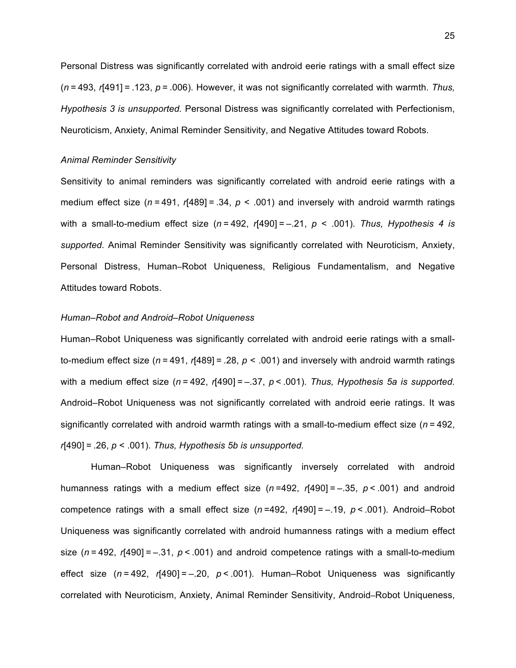Personal Distress was significantly correlated with android eerie ratings with a small effect size (*n* = 493, *r*[491] = .123, *p* = .006). However, it was not significantly correlated with warmth. *Thus, Hypothesis 3 is unsupported.* Personal Distress was significantly correlated with Perfectionism, Neuroticism, Anxiety, Animal Reminder Sensitivity, and Negative Attitudes toward Robots.

#### *Animal Reminder Sensitivity*

Sensitivity to animal reminders was significantly correlated with android eerie ratings with a medium effect size ( $n = 491$ ,  $r[489] = .34$ ,  $p < .001$ ) and inversely with android warmth ratings with a small-to-medium effect size (*n* = 492, *r*[490] = –.21, *p* < .001). *Thus, Hypothesis 4 is supported.* Animal Reminder Sensitivity was significantly correlated with Neuroticism, Anxiety, Personal Distress, Human–Robot Uniqueness, Religious Fundamentalism, and Negative Attitudes toward Robots.

### *Human–Robot and Android–Robot Uniqueness*

Human–Robot Uniqueness was significantly correlated with android eerie ratings with a smallto-medium effect size ( $n = 491$ ,  $r[489] = .28$ ,  $p < .001$ ) and inversely with android warmth ratings with a medium effect size (*n* = 492, *r*[490] = –.37, *p* < .001). *Thus, Hypothesis 5a is supported.* Android–Robot Uniqueness was not significantly correlated with android eerie ratings. It was significantly correlated with android warmth ratings with a small-to-medium effect size (*n* = 492, *r*[490] = .26, *p* < .001). *Thus, Hypothesis 5b is unsupported.*

Human–Robot Uniqueness was significantly inversely correlated with android humanness ratings with a medium effect size (*n* =492, *r*[490] = –.35, *p* < .001) and android competence ratings with a small effect size (*n* =492, *r*[490] = –.19, *p* < .001). Android–Robot Uniqueness was significantly correlated with android humanness ratings with a medium effect size (*n* = 492, *r*[490] = –.31, *p* < .001) and android competence ratings with a small-to-medium effect size (*n* = 492, *r*[490] = –.20, *p* < .001). Human–Robot Uniqueness was significantly correlated with Neuroticism, Anxiety, Animal Reminder Sensitivity, Android–Robot Uniqueness,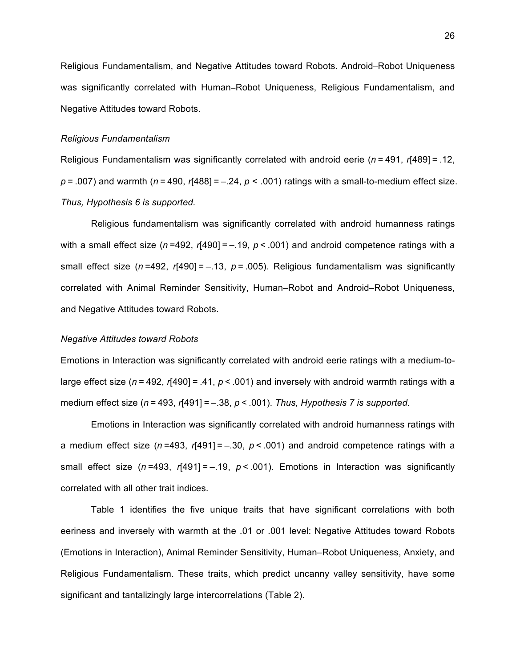Religious Fundamentalism, and Negative Attitudes toward Robots. Android–Robot Uniqueness was significantly correlated with Human–Robot Uniqueness, Religious Fundamentalism, and Negative Attitudes toward Robots.

### *Religious Fundamentalism*

Religious Fundamentalism was significantly correlated with android eerie (*n* = 491, *r*[489] = .12, *p* = .007) and warmth (*n* = 490, *r*[488] = –.24, *p* < .001) ratings with a small-to-medium effect size. *Thus, Hypothesis 6 is supported.*

Religious fundamentalism was significantly correlated with android humanness ratings with a small effect size ( $n = 492$ ,  $r[490] = -.19$ ,  $p < .001$ ) and android competence ratings with a small effect size ( $n = 492$ ,  $r[490] = -0.13$ ,  $p = 0.005$ ). Religious fundamentalism was significantly correlated with Animal Reminder Sensitivity, Human–Robot and Android–Robot Uniqueness, and Negative Attitudes toward Robots.

## *Negative Attitudes toward Robots*

Emotions in Interaction was significantly correlated with android eerie ratings with a medium-tolarge effect size ( $n = 492$ ,  $r[490] = .41$ ,  $p < .001$ ) and inversely with android warmth ratings with a medium effect size (*n* = 493, *r*[491] = –.38, *p* < .001). *Thus, Hypothesis 7 is supported.*

Emotions in Interaction was significantly correlated with android humanness ratings with a medium effect size (*n* =493, *r*[491] = –.30, *p* < .001) and android competence ratings with a small effect size  $(n=493, r[491]=-19, p<.001)$ . Emotions in Interaction was significantly correlated with all other trait indices.

Table 1 identifies the five unique traits that have significant correlations with both eeriness and inversely with warmth at the .01 or .001 level: Negative Attitudes toward Robots (Emotions in Interaction), Animal Reminder Sensitivity, Human–Robot Uniqueness, Anxiety, and Religious Fundamentalism. These traits, which predict uncanny valley sensitivity, have some significant and tantalizingly large intercorrelations (Table 2).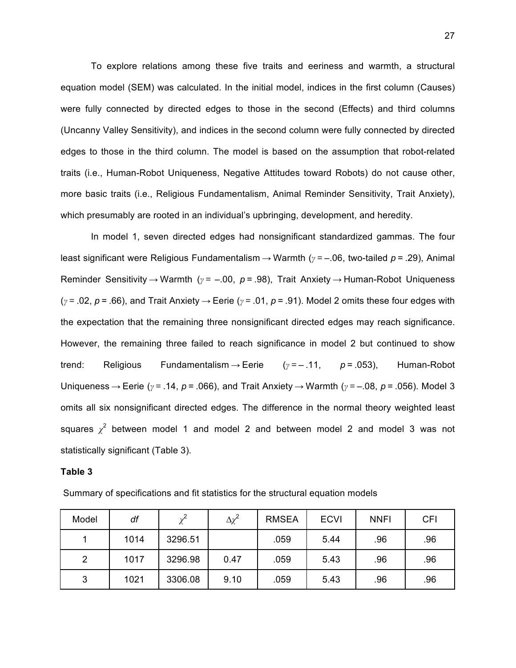To explore relations among these five traits and eeriness and warmth, a structural equation model (SEM) was calculated. In the initial model, indices in the first column (Causes) were fully connected by directed edges to those in the second (Effects) and third columns (Uncanny Valley Sensitivity), and indices in the second column were fully connected by directed edges to those in the third column. The model is based on the assumption that robot-related traits (i.e., Human-Robot Uniqueness, Negative Attitudes toward Robots) do not cause other, more basic traits (i.e., Religious Fundamentalism, Animal Reminder Sensitivity, Trait Anxiety), which presumably are rooted in an individual's upbringing, development, and heredity.

In model 1, seven directed edges had nonsignificant standardized gammas. The four least significant were Religious Fundamentalism → Warmth (*γ* = –.06, two-tailed *p* = .29), Animal Reminder Sensitivity → Warmth (*γ* =  –.00, *p* = .98), Trait Anxiety → Human-Robot Uniqueness (*γ* = .02, *p* = .66), and Trait Anxiety → Eerie (*γ* = .01, *p* = .91). Model 2 omits these four edges with the expectation that the remaining three nonsignificant directed edges may reach significance. However, the remaining three failed to reach significance in model 2 but continued to show trend: Religious Fundamentalism → Eerie (*γ* = – .11, *p* = .053), Human-Robot Uniqueness → Eerie (*γ* = .14, *p* = .066), and Trait Anxiety → Warmth (*γ* = –.08, *p* = .056). Model 3 omits all six nonsignificant directed edges. The difference in the normal theory weighted least squares  $\chi^2$  between model 1 and model 2 and between model 2 and model 3 was not statistically significant (Table 3).

### **Table 3**

| Model | df   |         | $\Delta \chi^2$ | <b>RMSEA</b> | <b>ECVI</b> | <b>NNFI</b> | <b>CFI</b> |
|-------|------|---------|-----------------|--------------|-------------|-------------|------------|
|       | 1014 | 3296.51 |                 | .059         | 5.44        | .96         | .96        |
| 2     | 1017 | 3296.98 | 0.47            | .059         | 5.43        | .96         | .96        |
| 3     | 1021 | 3306.08 | 9.10            | .059         | 5.43        | .96         | .96        |

Summary of specifications and fit statistics for the structural equation models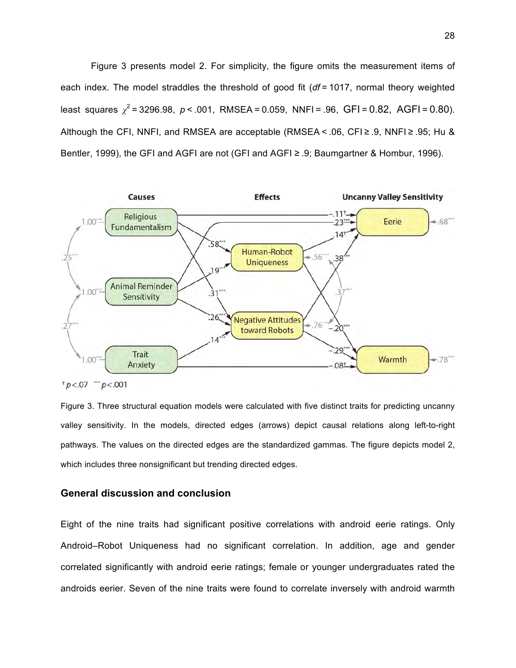Figure 3 presents model 2. For simplicity, the figure omits the measurement items of each index. The model straddles the threshold of good fit (*df* = 1017, normal theory weighted least squares  $\chi^2$  = 3296.98, *p* < .001, RMSEA = 0.059, NNFI = .96, GFI = 0.82, AGFI = 0.80). Although the CFI, NNFI, and RMSEA are acceptable (RMSEA < .06, CFI $\ge$  .9, NNFI $\ge$  .95; Hu & Bentler, 1999), the GFI and AGFI are not (GFI and AGFI ≥ .9; Baumgartner & Hombur, 1996).



 $p < .07$  "  $p < .001$ 

Figure 3. Three structural equation models were calculated with five distinct traits for predicting uncanny valley sensitivity. In the models, directed edges (arrows) depict causal relations along left-to-right pathways. The values on the directed edges are the standardized gammas. The figure depicts model 2, which includes three nonsignificant but trending directed edges.

# **General discussion and conclusion**

Eight of the nine traits had significant positive correlations with android eerie ratings. Only Android–Robot Uniqueness had no significant correlation. In addition, age and gender correlated significantly with android eerie ratings; female or younger undergraduates rated the androids eerier. Seven of the nine traits were found to correlate inversely with android warmth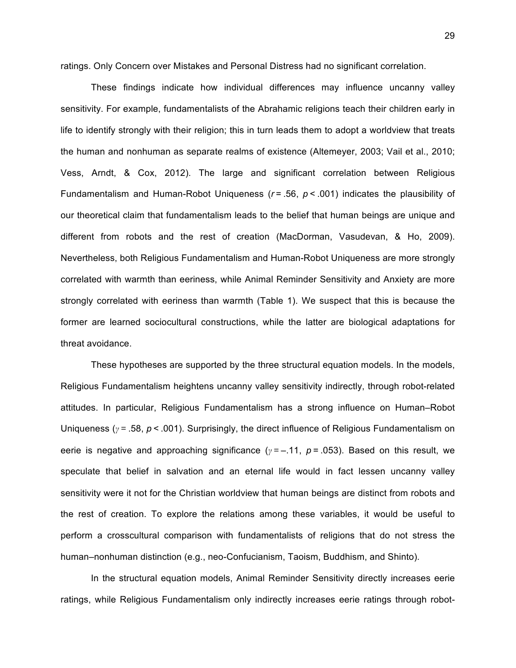ratings. Only Concern over Mistakes and Personal Distress had no significant correlation.

These findings indicate how individual differences may influence uncanny valley sensitivity. For example, fundamentalists of the Abrahamic religions teach their children early in life to identify strongly with their religion; this in turn leads them to adopt a worldview that treats the human and nonhuman as separate realms of existence (Altemeyer, 2003; Vail et al., 2010; Vess, Arndt, & Cox, 2012). The large and significant correlation between Religious Fundamentalism and Human-Robot Uniqueness (*r* = .56, *p* < .001) indicates the plausibility of our theoretical claim that fundamentalism leads to the belief that human beings are unique and different from robots and the rest of creation (MacDorman, Vasudevan, & Ho, 2009). Nevertheless, both Religious Fundamentalism and Human-Robot Uniqueness are more strongly correlated with warmth than eeriness, while Animal Reminder Sensitivity and Anxiety are more strongly correlated with eeriness than warmth (Table 1). We suspect that this is because the former are learned sociocultural constructions, while the latter are biological adaptations for threat avoidance.

These hypotheses are supported by the three structural equation models. In the models, Religious Fundamentalism heightens uncanny valley sensitivity indirectly, through robot-related attitudes. In particular, Religious Fundamentalism has a strong influence on Human–Robot Uniqueness (*γ* = .58, *p* < .001). Surprisingly, the direct influence of Religious Fundamentalism on eerie is negative and approaching significance (*γ* = –.11, *p* = .053). Based on this result, we speculate that belief in salvation and an eternal life would in fact lessen uncanny valley sensitivity were it not for the Christian worldview that human beings are distinct from robots and the rest of creation. To explore the relations among these variables, it would be useful to perform a crosscultural comparison with fundamentalists of religions that do not stress the human–nonhuman distinction (e.g., neo-Confucianism, Taoism, Buddhism, and Shinto).

In the structural equation models, Animal Reminder Sensitivity directly increases eerie ratings, while Religious Fundamentalism only indirectly increases eerie ratings through robot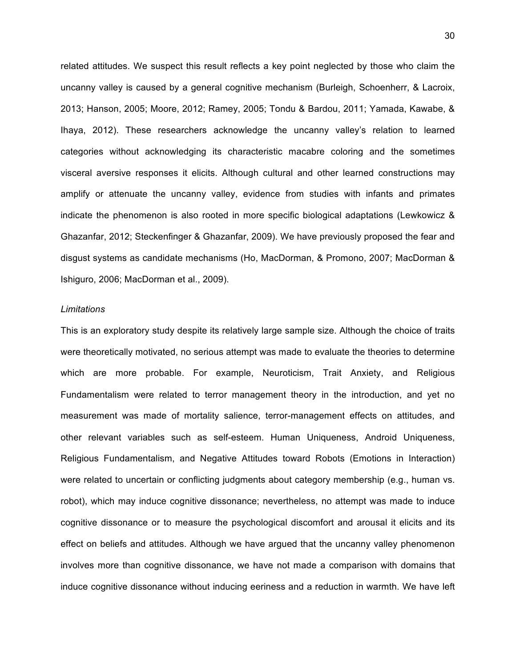related attitudes. We suspect this result reflects a key point neglected by those who claim the uncanny valley is caused by a general cognitive mechanism (Burleigh, Schoenherr, & Lacroix, 2013; Hanson, 2005; Moore, 2012; Ramey, 2005; Tondu & Bardou, 2011; Yamada, Kawabe, & Ihaya, 2012). These researchers acknowledge the uncanny valley's relation to learned categories without acknowledging its characteristic macabre coloring and the sometimes visceral aversive responses it elicits. Although cultural and other learned constructions may amplify or attenuate the uncanny valley, evidence from studies with infants and primates indicate the phenomenon is also rooted in more specific biological adaptations (Lewkowicz & Ghazanfar, 2012; Steckenfinger & Ghazanfar, 2009). We have previously proposed the fear and disgust systems as candidate mechanisms (Ho, MacDorman, & Promono, 2007; MacDorman & Ishiguro, 2006; MacDorman et al., 2009).

### *Limitations*

This is an exploratory study despite its relatively large sample size. Although the choice of traits were theoretically motivated, no serious attempt was made to evaluate the theories to determine which are more probable. For example, Neuroticism, Trait Anxiety, and Religious Fundamentalism were related to terror management theory in the introduction, and yet no measurement was made of mortality salience, terror-management effects on attitudes, and other relevant variables such as self-esteem. Human Uniqueness, Android Uniqueness, Religious Fundamentalism, and Negative Attitudes toward Robots (Emotions in Interaction) were related to uncertain or conflicting judgments about category membership (e.g., human vs. robot), which may induce cognitive dissonance; nevertheless, no attempt was made to induce cognitive dissonance or to measure the psychological discomfort and arousal it elicits and its effect on beliefs and attitudes. Although we have argued that the uncanny valley phenomenon involves more than cognitive dissonance, we have not made a comparison with domains that induce cognitive dissonance without inducing eeriness and a reduction in warmth. We have left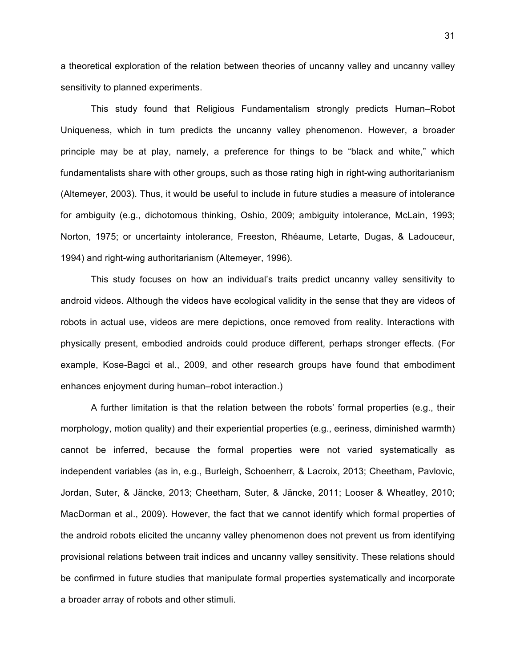a theoretical exploration of the relation between theories of uncanny valley and uncanny valley sensitivity to planned experiments.

This study found that Religious Fundamentalism strongly predicts Human–Robot Uniqueness, which in turn predicts the uncanny valley phenomenon. However, a broader principle may be at play, namely, a preference for things to be "black and white," which fundamentalists share with other groups, such as those rating high in right-wing authoritarianism (Altemeyer, 2003). Thus, it would be useful to include in future studies a measure of intolerance for ambiguity (e.g., dichotomous thinking, Oshio, 2009; ambiguity intolerance, McLain, 1993; Norton, 1975; or uncertainty intolerance, Freeston, Rhéaume, Letarte, Dugas, & Ladouceur, 1994) and right-wing authoritarianism (Altemeyer, 1996).

This study focuses on how an individual's traits predict uncanny valley sensitivity to android videos. Although the videos have ecological validity in the sense that they are videos of robots in actual use, videos are mere depictions, once removed from reality. Interactions with physically present, embodied androids could produce different, perhaps stronger effects. (For example, Kose-Bagci et al., 2009, and other research groups have found that embodiment enhances enjoyment during human–robot interaction.)

A further limitation is that the relation between the robots' formal properties (e.g., their morphology, motion quality) and their experiential properties (e.g., eeriness, diminished warmth) cannot be inferred, because the formal properties were not varied systematically as independent variables (as in, e.g., Burleigh, Schoenherr, & Lacroix, 2013; Cheetham, Pavlovic, Jordan, Suter, & Jäncke, 2013; Cheetham, Suter, & Jäncke, 2011; Looser & Wheatley, 2010; MacDorman et al., 2009). However, the fact that we cannot identify which formal properties of the android robots elicited the uncanny valley phenomenon does not prevent us from identifying provisional relations between trait indices and uncanny valley sensitivity. These relations should be confirmed in future studies that manipulate formal properties systematically and incorporate a broader array of robots and other stimuli.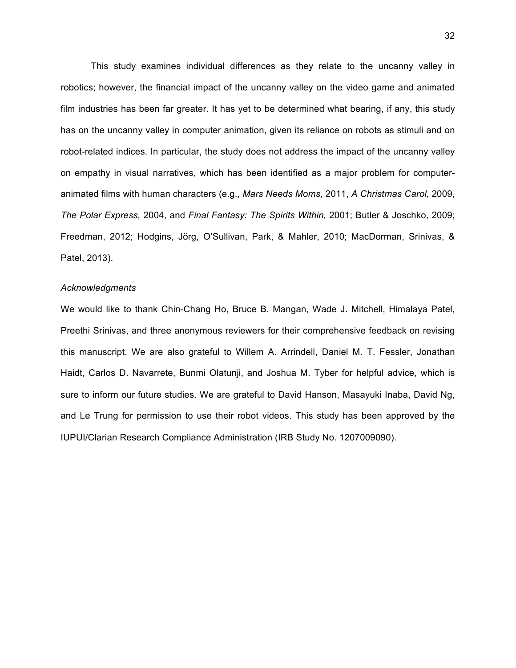This study examines individual differences as they relate to the uncanny valley in robotics; however, the financial impact of the uncanny valley on the video game and animated film industries has been far greater. It has yet to be determined what bearing, if any, this study has on the uncanny valley in computer animation, given its reliance on robots as stimuli and on robot-related indices. In particular, the study does not address the impact of the uncanny valley on empathy in visual narratives, which has been identified as a major problem for computeranimated films with human characters (e.g., *Mars Needs Moms,* 2011, *A Christmas Carol,* 2009, *The Polar Express,* 2004, and *Final Fantasy: The Spirits Within,* 2001; Butler & Joschko, 2009; Freedman, 2012; Hodgins, Jörg, O'Sullivan, Park, & Mahler, 2010; MacDorman, Srinivas, & Patel, 2013).

### *Acknowledgments*

We would like to thank Chin-Chang Ho, Bruce B. Mangan, Wade J. Mitchell, Himalaya Patel, Preethi Srinivas, and three anonymous reviewers for their comprehensive feedback on revising this manuscript. We are also grateful to Willem A. Arrindell, Daniel M. T. Fessler, Jonathan Haidt, Carlos D. Navarrete, Bunmi Olatunji, and Joshua M. Tyber for helpful advice, which is sure to inform our future studies. We are grateful to David Hanson, Masayuki Inaba, David Ng, and Le Trung for permission to use their robot videos. This study has been approved by the IUPUI/Clarian Research Compliance Administration (IRB Study No. 1207009090).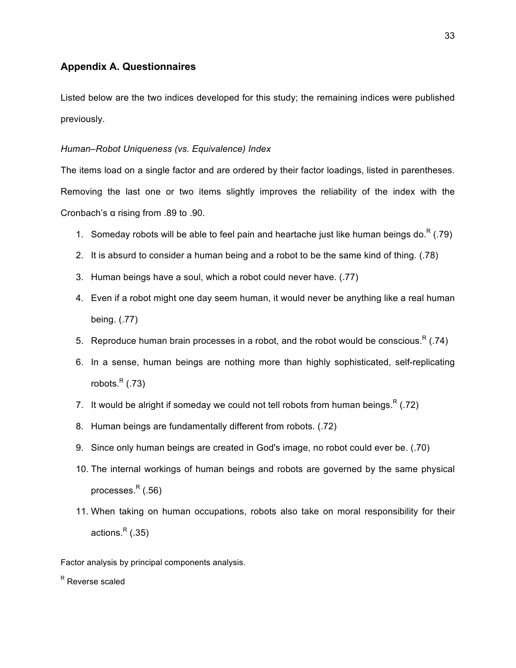# **Appendix A. Questionnaires**

Listed below are the two indices developed for this study; the remaining indices were published previously.

## *Human–Robot Uniqueness (vs. Equivalence) Index*

The items load on a single factor and are ordered by their factor loadings, listed in parentheses. Removing the last one or two items slightly improves the reliability of the index with the Cronbach's α rising from .89 to .90.

- 1. Someday robots will be able to feel pain and heartache just like human beings do.<sup>R</sup> (.79)
- 2. It is absurd to consider a human being and a robot to be the same kind of thing. (.78)
- 3. Human beings have a soul, which a robot could never have. (.77)
- 4. Even if a robot might one day seem human, it would never be anything like a real human being. (.77)
- 5. Reproduce human brain processes in a robot, and the robot would be conscious.<sup>R</sup> (.74)
- 6. In a sense, human beings are nothing more than highly sophisticated, self-replicating robots. $R$  (.73)
- 7. It would be alright if someday we could not tell robots from human beings.<sup>R</sup> (.72)
- 8. Human beings are fundamentally different from robots. (.72)
- 9. Since only human beings are created in God's image, no robot could ever be. (.70)
- 10. The internal workings of human beings and robots are governed by the same physical processes. $R$  (.56)
- 11. When taking on human occupations, robots also take on moral responsibility for their actions. $R$  (.35)

Factor analysis by principal components analysis.

R Reverse scaled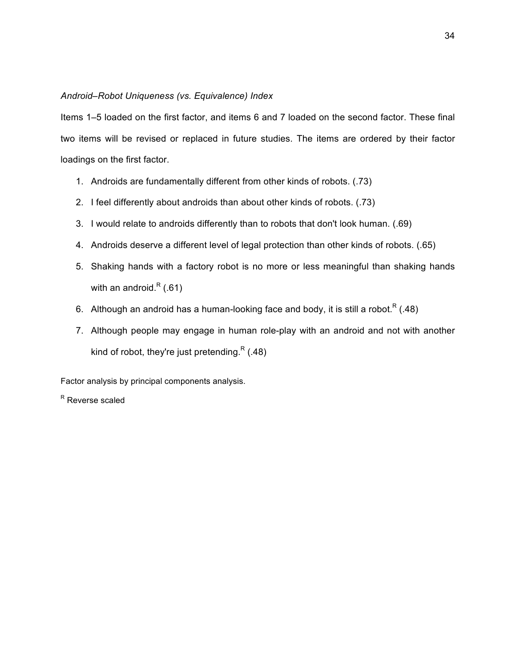## *Android–Robot Uniqueness (vs. Equivalence) Index*

Items 1–5 loaded on the first factor, and items 6 and 7 loaded on the second factor. These final two items will be revised or replaced in future studies. The items are ordered by their factor loadings on the first factor.

- 1. Androids are fundamentally different from other kinds of robots. (.73)
- 2. I feel differently about androids than about other kinds of robots. (.73)
- 3. I would relate to androids differently than to robots that don't look human. (.69)
- 4. Androids deserve a different level of legal protection than other kinds of robots. (.65)
- 5. Shaking hands with a factory robot is no more or less meaningful than shaking hands with an android. $R(.61)$
- 6. Although an android has a human-looking face and body, it is still a robot.<sup>R</sup> (.48)
- 7. Although people may engage in human role-play with an android and not with another kind of robot, they're just pretending.<sup>R</sup> (.48)

Factor analysis by principal components analysis.

R Reverse scaled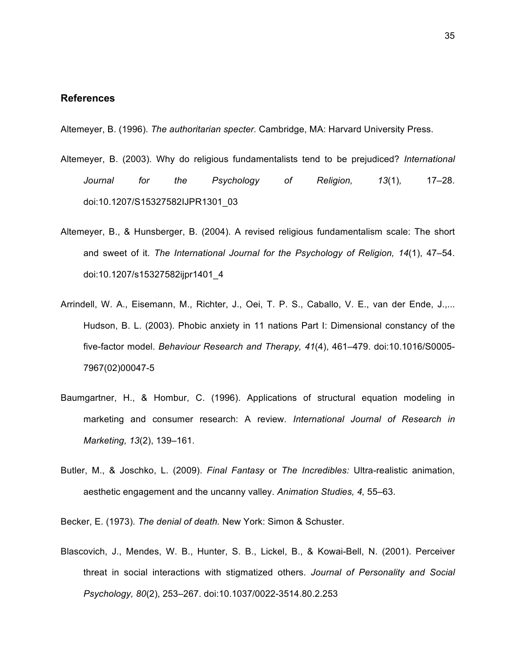## **References**

Altemeyer, B. (1996). *The authoritarian specter.* Cambridge, MA: Harvard University Press.

- Altemeyer, B. (2003). Why do religious fundamentalists tend to be prejudiced? *International Journal for the Psychology of Religion, 13*(1)*,* 17–28. doi:10.1207/S15327582IJPR1301\_03
- Altemeyer, B., & Hunsberger, B. (2004). A revised religious fundamentalism scale: The short and sweet of it. *The International Journal for the Psychology of Religion, 14*(1), 47–54. doi:10.1207/s15327582ijpr1401\_4
- Arrindell, W. A., Eisemann, M., Richter, J., Oei, T. P. S., Caballo, V. E., van der Ende, J.,... Hudson, B. L. (2003). Phobic anxiety in 11 nations Part I: Dimensional constancy of the five-factor model. *Behaviour Research and Therapy, 41*(4), 461–479. doi:10.1016/S0005- 7967(02)00047-5
- Baumgartner, H., & Hombur, C. (1996). Applications of structural equation modeling in marketing and consumer research: A review. *International Journal of Research in Marketing, 13*(2), 139–161.
- Butler, M., & Joschko, L. (2009). *Final Fantasy* or *The Incredibles:* Ultra-realistic animation, aesthetic engagement and the uncanny valley. *Animation Studies, 4,* 55–63.

Becker, E. (1973). *The denial of death.* New York: Simon & Schuster.

Blascovich, J., Mendes, W. B., Hunter, S. B., Lickel, B., & Kowai-Bell, N. (2001). Perceiver threat in social interactions with stigmatized others. *Journal of Personality and Social Psychology, 80*(2), 253–267. doi:10.1037/0022-3514.80.2.253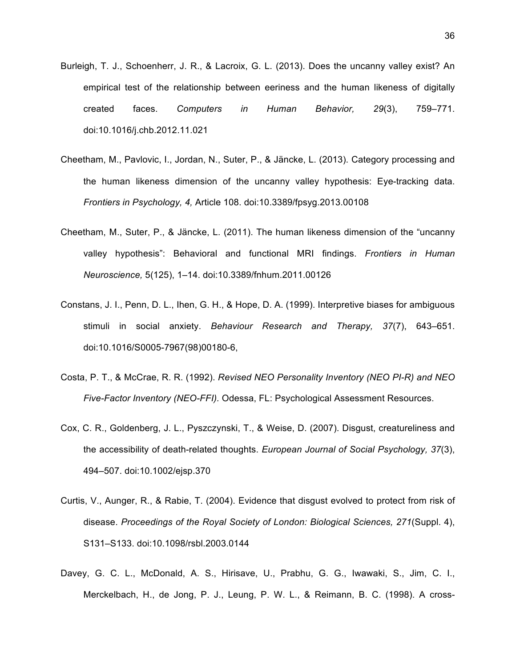- Burleigh, T. J., Schoenherr, J. R., & Lacroix, G. L. (2013). Does the uncanny valley exist? An empirical test of the relationship between eeriness and the human likeness of digitally created faces. *Computers in Human Behavior, 29*(3), 759–771. doi:10.1016/j.chb.2012.11.021
- Cheetham, M., Pavlovic, I., Jordan, N., Suter, P., & Jäncke, L. (2013). Category processing and the human likeness dimension of the uncanny valley hypothesis: Eye-tracking data. *Frontiers in Psychology, 4,* Article 108. doi:10.3389/fpsyg.2013.00108
- Cheetham, M., Suter, P., & Jäncke, L. (2011). The human likeness dimension of the "uncanny valley hypothesis": Behavioral and functional MRI findings. *Frontiers in Human Neuroscience,* 5(125), 1–14. doi:10.3389/fnhum.2011.00126
- Constans, J. I., Penn, D. L., Ihen, G. H., & Hope, D. A. (1999). Interpretive biases for ambiguous stimuli in social anxiety. *Behaviour Research and Therapy, 37*(7), 643–651. doi:10.1016/S0005-7967(98)00180-6,
- Costa, P. T., & McCrae, R. R. (1992). *Revised NEO Personality Inventory (NEO PI-R) and NEO Five-Factor Inventory (NEO-FFI).* Odessa, FL: Psychological Assessment Resources.
- Cox, C. R., Goldenberg, J. L., Pyszczynski, T., & Weise, D. (2007). Disgust, creatureliness and the accessibility of death-related thoughts. *European Journal of Social Psychology, 37*(3), 494–507. doi:10.1002/ejsp.370
- Curtis, V., Aunger, R., & Rabie, T. (2004). Evidence that disgust evolved to protect from risk of disease. *Proceedings of the Royal Society of London: Biological Sciences, 271*(Suppl. 4), S131–S133. doi:10.1098/rsbl.2003.0144
- Davey, G. C. L., McDonald, A. S., Hirisave, U., Prabhu, G. G., Iwawaki, S., Jim, C. I., Merckelbach, H., de Jong, P. J., Leung, P. W. L., & Reimann, B. C. (1998). A cross-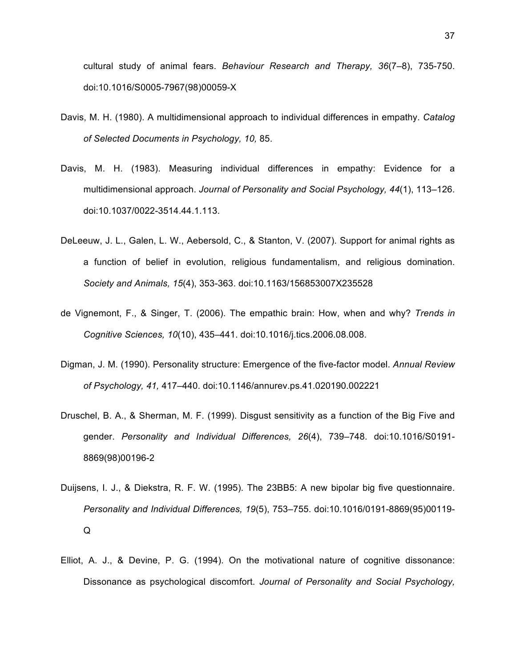cultural study of animal fears. *Behaviour Research and Therapy, 36*(7–8), 735-750. doi:10.1016/S0005-7967(98)00059-X

- Davis, M. H. (1980). A multidimensional approach to individual differences in empathy. *Catalog of Selected Documents in Psychology, 10,* 85.
- Davis, M. H. (1983). Measuring individual differences in empathy: Evidence for a multidimensional approach. *Journal of Personality and Social Psychology, 44*(1), 113–126. doi:10.1037/0022-3514.44.1.113.
- DeLeeuw, J. L., Galen, L. W., Aebersold, C., & Stanton, V. (2007). Support for animal rights as a function of belief in evolution, religious fundamentalism, and religious domination. *Society and Animals, 15*(4), 353-363. doi:10.1163/156853007X235528
- de Vignemont, F., & Singer, T. (2006). The empathic brain: How, when and why? *Trends in Cognitive Sciences, 10*(10), 435–441. doi:10.1016/j.tics.2006.08.008.
- Digman, J. M. (1990). Personality structure: Emergence of the five-factor model. *Annual Review of Psychology, 41,* 417–440. doi:10.1146/annurev.ps.41.020190.002221
- Druschel, B. A., & Sherman, M. F. (1999). Disgust sensitivity as a function of the Big Five and gender. *Personality and Individual Differences, 26*(4), 739–748. doi:10.1016/S0191- 8869(98)00196-2
- Duijsens, I. J., & Diekstra, R. F. W. (1995). The 23BB5: A new bipolar big five questionnaire. *Personality and Individual Differences, 19*(5), 753–755. doi:10.1016/0191-8869(95)00119- Q
- Elliot, A. J., & Devine, P. G. (1994). On the motivational nature of cognitive dissonance: Dissonance as psychological discomfort. *Journal of Personality and Social Psychology,*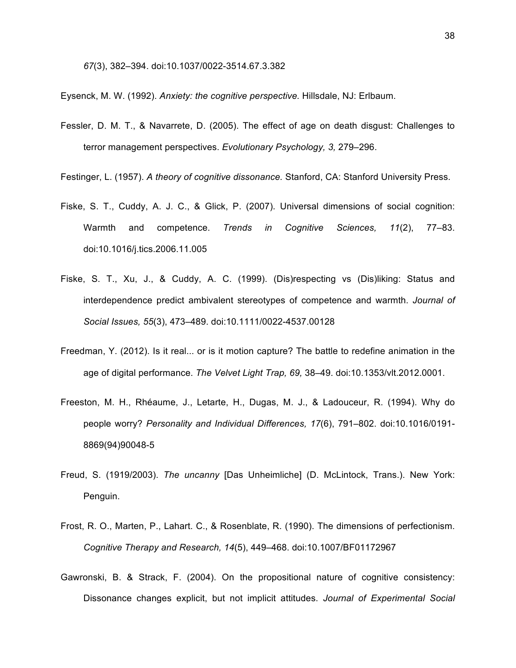*67*(3), 382–394. doi:10.1037/0022-3514.67.3.382

Eysenck, M. W. (1992). *Anxiety: the cognitive perspective.* Hillsdale, NJ: Erlbaum.

Fessler, D. M. T., & Navarrete, D. (2005). The effect of age on death disgust: Challenges to terror management perspectives. *Evolutionary Psychology, 3,* 279–296.

Festinger, L. (1957). *A theory of cognitive dissonance.* Stanford, CA: Stanford University Press.

- Fiske, S. T., Cuddy, A. J. C., & Glick, P. (2007). Universal dimensions of social cognition: Warmth and competence. *Trends in Cognitive Sciences, 11*(2), 77–83. doi:10.1016/j.tics.2006.11.005
- Fiske, S. T., Xu, J., & Cuddy, A. C. (1999). (Dis)respecting vs (Dis)liking: Status and interdependence predict ambivalent stereotypes of competence and warmth. *Journal of Social Issues, 55*(3), 473–489. doi:10.1111/0022-4537.00128
- Freedman, Y. (2012). Is it real... or is it motion capture? The battle to redefine animation in the age of digital performance. *The Velvet Light Trap, 69,* 38–49. doi:10.1353/vlt.2012.0001.
- Freeston, M. H., Rhéaume, J., Letarte, H., Dugas, M. J., & Ladouceur, R. (1994). Why do people worry? *Personality and Individual Differences, 17*(6), 791–802. doi:10.1016/0191- 8869(94)90048-5
- Freud, S. (1919/2003). *The uncanny* [Das Unheimliche] (D. McLintock, Trans.). New York: Penguin.
- Frost, R. O., Marten, P., Lahart. C., & Rosenblate, R. (1990). The dimensions of perfectionism. *Cognitive Therapy and Research, 14*(5), 449–468. doi:10.1007/BF01172967
- Gawronski, B. & Strack, F. (2004). On the propositional nature of cognitive consistency: Dissonance changes explicit, but not implicit attitudes. *Journal of Experimental Social*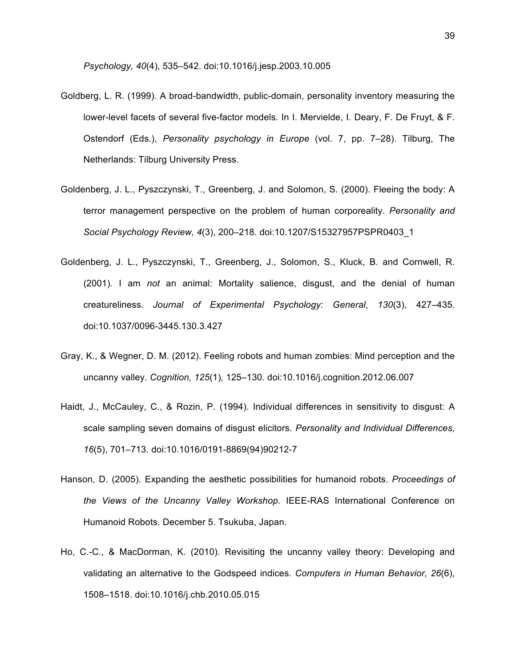*Psychology, 40*(4), 535–542. doi:10.1016/j.jesp.2003.10.005

- Goldberg, L. R. (1999). A broad-bandwidth, public-domain, personality inventory measuring the lower-level facets of several five-factor models. In I. Mervielde, I. Deary, F. De Fruyt, & F. Ostendorf (Eds.), *Personality psychology in Europe* (vol. 7, pp. 7–28). Tilburg, The Netherlands: Tilburg University Press.
- Goldenberg, J. L., Pyszczynski, T., Greenberg, J. and Solomon, S. (2000). Fleeing the body: A terror management perspective on the problem of human corporeality. *Personality and Social Psychology Review, 4*(3), 200–218. doi:10.1207/S15327957PSPR0403\_1
- Goldenberg, J. L., Pyszczynski, T., Greenberg, J., Solomon, S., Kluck, B. and Cornwell, R. (2001). I am *not* an animal: Mortality salience, disgust, and the denial of human creatureliness. *Journal of Experimental Psychology: General, 130*(3), 427–435. doi:10.1037/0096-3445.130.3.427
- Gray, K., & Wegner, D. M. (2012). Feeling robots and human zombies: Mind perception and the uncanny valley. *Cognition, 125*(1)*,* 125–130. doi:10.1016/j.cognition.2012.06.007
- Haidt, J., McCauley, C., & Rozin, P. (1994). Individual differences in sensitivity to disgust: A scale sampling seven domains of disgust elicitors. *Personality and Individual Differences, 16*(5), 701–713. doi:10.1016/0191-8869(94)90212-7
- Hanson, D. (2005). Expanding the aesthetic possibilities for humanoid robots. *Proceedings of the Views of the Uncanny Valley Workshop.* IEEE-RAS International Conference on Humanoid Robots. December 5. Tsukuba, Japan.
- Ho, C.-C., & MacDorman, K. (2010). Revisiting the uncanny valley theory: Developing and validating an alternative to the Godspeed indices. *Computers in Human Behavior, 26*(6), 1508–1518. doi:10.1016/j.chb.2010.05.015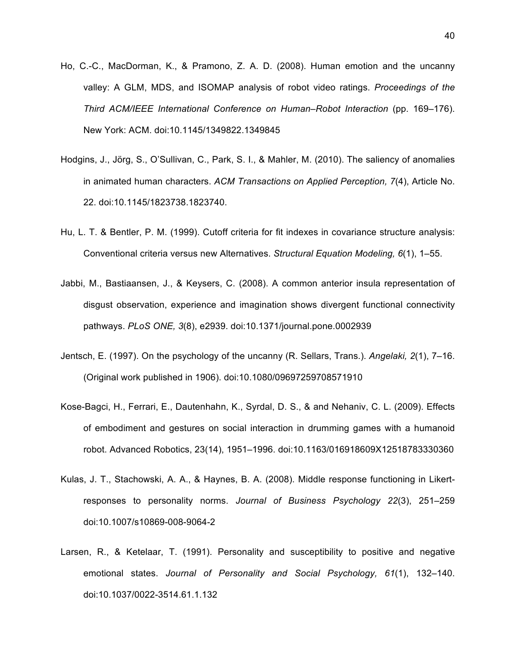- Ho, C.-C., MacDorman, K., & Pramono, Z. A. D. (2008). Human emotion and the uncanny valley: A GLM, MDS, and ISOMAP analysis of robot video ratings. *Proceedings of the Third ACM/IEEE International Conference on Human–Robot Interaction* (pp. 169–176). New York: ACM. doi:10.1145/1349822.1349845
- Hodgins, J., Jörg, S., O'Sullivan, C., Park, S. I., & Mahler, M. (2010). The saliency of anomalies in animated human characters. *ACM Transactions on Applied Perception, 7*(4), Article No. 22. doi:10.1145/1823738.1823740.
- Hu, L. T. & Bentler, P. M. (1999). Cutoff criteria for fit indexes in covariance structure analysis: Conventional criteria versus new Alternatives. *Structural Equation Modeling, 6*(1), 1–55.
- Jabbi, M., Bastiaansen, J., & Keysers, C. (2008). A common anterior insula representation of disgust observation, experience and imagination shows divergent functional connectivity pathways. *PLoS ONE, 3*(8), e2939. doi:10.1371/journal.pone.0002939
- Jentsch, E. (1997). On the psychology of the uncanny (R. Sellars, Trans.). *Angelaki, 2*(1), 7–16. (Original work published in 1906). doi:10.1080/09697259708571910
- Kose-Bagci, H., Ferrari, E., Dautenhahn, K., Syrdal, D. S., & and Nehaniv, C. L. (2009). Effects of embodiment and gestures on social interaction in drumming games with a humanoid robot. Advanced Robotics, 23(14), 1951–1996. doi:10.1163/016918609X12518783330360
- Kulas, J. T., Stachowski, A. A., & Haynes, B. A. (2008). Middle response functioning in Likertresponses to personality norms. *Journal of Business Psychology 22*(3), 251–259 doi:10.1007/s10869-008-9064-2
- Larsen, R., & Ketelaar, T. (1991). Personality and susceptibility to positive and negative emotional states. *Journal of Personality and Social Psychology, 61*(1), 132–140. doi:10.1037/0022-3514.61.1.132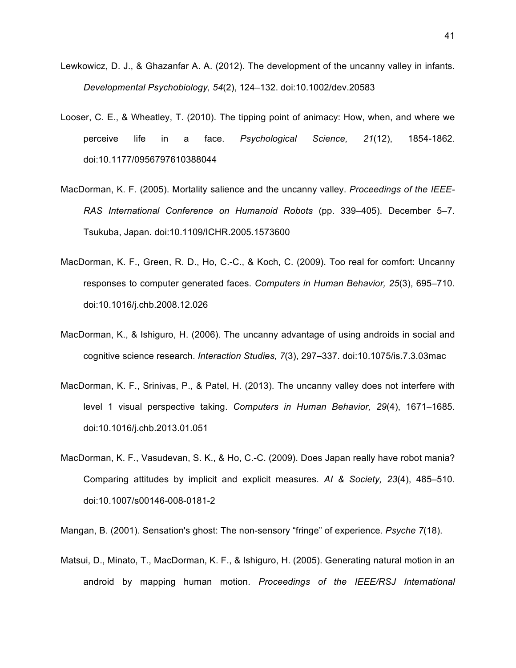- Lewkowicz, D. J., & Ghazanfar A. A. (2012). The development of the uncanny valley in infants. *Developmental Psychobiology, 54*(2), 124–132. doi:10.1002/dev.20583
- Looser, C. E., & Wheatley, T. (2010). The tipping point of animacy: How, when, and where we perceive life in a face. *Psychological Science, 21*(12), 1854-1862. doi:10.1177/0956797610388044
- MacDorman, K. F. (2005). Mortality salience and the uncanny valley. *Proceedings of the IEEE-RAS International Conference on Humanoid Robots* (pp. 339–405). December 5–7. Tsukuba, Japan. doi:10.1109/ICHR.2005.1573600
- MacDorman, K. F., Green, R. D., Ho, C.-C., & Koch, C. (2009). Too real for comfort: Uncanny responses to computer generated faces. *Computers in Human Behavior, 25*(3), 695–710. doi:10.1016/j.chb.2008.12.026
- MacDorman, K., & Ishiguro, H. (2006). The uncanny advantage of using androids in social and cognitive science research. *Interaction Studies, 7*(3), 297–337. doi:10.1075/is.7.3.03mac
- MacDorman, K. F., Srinivas, P., & Patel, H. (2013). The uncanny valley does not interfere with level 1 visual perspective taking. *Computers in Human Behavior, 29*(4), 1671–1685. doi:10.1016/j.chb.2013.01.051
- MacDorman, K. F., Vasudevan, S. K., & Ho, C.-C. (2009). Does Japan really have robot mania? Comparing attitudes by implicit and explicit measures. *AI & Society, 23*(4), 485–510. doi:10.1007/s00146-008-0181-2

Mangan, B. (2001). Sensation's ghost: The non-sensory "fringe" of experience. *Psyche 7*(18).

Matsui, D., Minato, T., MacDorman, K. F., & Ishiguro, H. (2005). Generating natural motion in an android by mapping human motion. *Proceedings of the IEEE/RSJ International*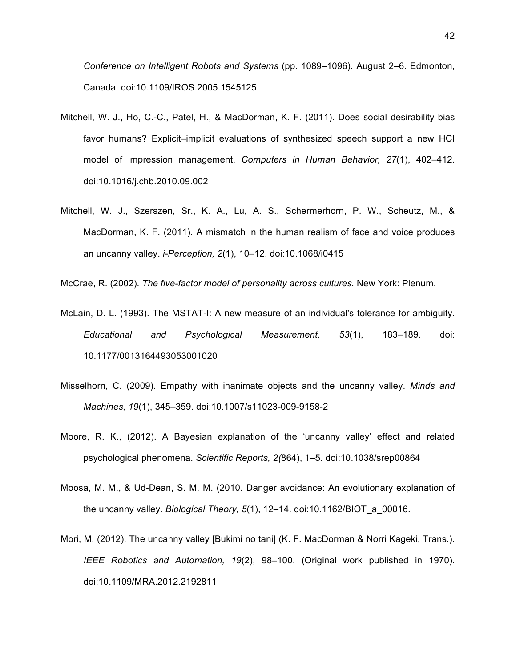*Conference on Intelligent Robots and Systems* (pp. 1089–1096). August 2–6. Edmonton, Canada. doi:10.1109/IROS.2005.1545125

- Mitchell, W. J., Ho, C.-C., Patel, H., & MacDorman, K. F. (2011). Does social desirability bias favor humans? Explicit–implicit evaluations of synthesized speech support a new HCI model of impression management. *Computers in Human Behavior, 27*(1), 402–412. doi:10.1016/j.chb.2010.09.002
- Mitchell, W. J., Szerszen, Sr., K. A., Lu, A. S., Schermerhorn, P. W., Scheutz, M., & MacDorman, K. F. (2011). A mismatch in the human realism of face and voice produces an uncanny valley. *i-Perception, 2*(1), 10–12. doi:10.1068/i0415

McCrae, R. (2002). *The five-factor model of personality across cultures.* New York: Plenum.

- McLain, D. L. (1993). The MSTAT-I: A new measure of an individual's tolerance for ambiguity. *Educational and Psychological Measurement, 53*(1), 183–189. doi: 10.1177/0013164493053001020
- Misselhorn, C. (2009). Empathy with inanimate objects and the uncanny valley. *Minds and Machines, 19*(1), 345–359. doi:10.1007/s11023-009-9158-2
- Moore, R. K., (2012). A Bayesian explanation of the 'uncanny valley' effect and related psychological phenomena. *Scientific Reports, 2(*864), 1–5. doi:10.1038/srep00864
- Moosa, M. M., & Ud-Dean, S. M. M. (2010. Danger avoidance: An evolutionary explanation of the uncanny valley. *Biological Theory, 5*(1), 12–14. doi:10.1162/BIOT\_a\_00016.
- Mori, M. (2012). The uncanny valley [Bukimi no tani] (K. F. MacDorman & Norri Kageki, Trans.). *IEEE Robotics and Automation, 19*(2), 98–100. (Original work published in 1970). doi:10.1109/MRA.2012.2192811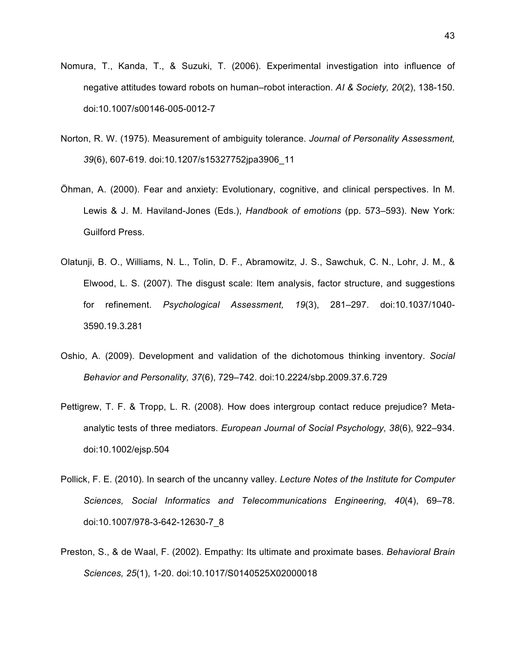- Nomura, T., Kanda, T., & Suzuki, T. (2006). Experimental investigation into influence of negative attitudes toward robots on human–robot interaction. *AI & Society, 20*(2), 138-150. doi:10.1007/s00146-005-0012-7
- Norton, R. W. (1975). Measurement of ambiguity tolerance. *Journal of Personality Assessment, 39*(6), 607-619. doi:10.1207/s15327752jpa3906\_11
- Öhman, A. (2000). Fear and anxiety: Evolutionary, cognitive, and clinical perspectives. In M. Lewis & J. M. Haviland-Jones (Eds.), *Handbook of emotions* (pp. 573–593). New York: Guilford Press.
- Olatunji, B. O., Williams, N. L., Tolin, D. F., Abramowitz, J. S., Sawchuk, C. N., Lohr, J. M., & Elwood, L. S. (2007). The disgust scale: Item analysis, factor structure, and suggestions for refinement. *Psychological Assessment, 19*(3), 281–297. doi:10.1037/1040- 3590.19.3.281
- Oshio, A. (2009). Development and validation of the dichotomous thinking inventory. *Social Behavior and Personality, 37*(6), 729–742. doi:10.2224/sbp.2009.37.6.729
- Pettigrew, T. F. & Tropp, L. R. (2008). How does intergroup contact reduce prejudice? Metaanalytic tests of three mediators. *European Journal of Social Psychology, 38*(6), 922–934. doi:10.1002/ejsp.504
- Pollick, F. E. (2010). In search of the uncanny valley. *Lecture Notes of the Institute for Computer Sciences, Social Informatics and Telecommunications Engineering, 40*(4), 69–78. doi:10.1007/978-3-642-12630-7\_8
- Preston, S., & de Waal, F. (2002). Empathy: Its ultimate and proximate bases. *Behavioral Brain Sciences, 25*(1), 1-20. doi:10.1017/S0140525X02000018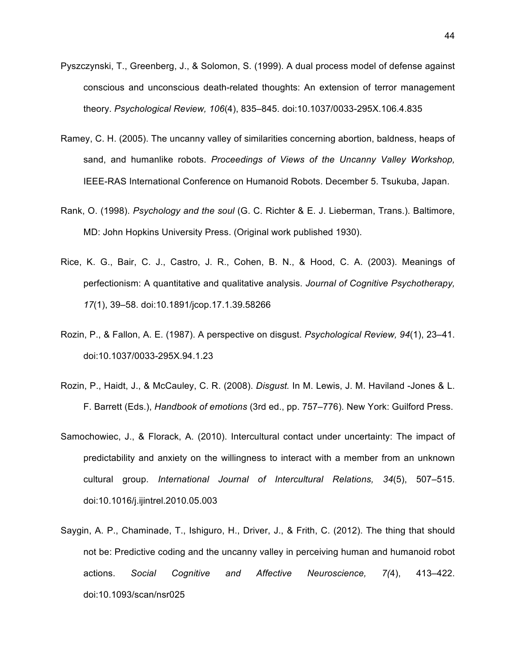- Pyszczynski, T., Greenberg, J., & Solomon, S. (1999). A dual process model of defense against conscious and unconscious death-related thoughts: An extension of terror management theory. *Psychological Review, 106*(4), 835–845. doi:10.1037/0033-295X.106.4.835
- Ramey, C. H. (2005). The uncanny valley of similarities concerning abortion, baldness, heaps of sand, and humanlike robots. *Proceedings of Views of the Uncanny Valley Workshop,* IEEE-RAS International Conference on Humanoid Robots. December 5. Tsukuba, Japan.
- Rank, O. (1998). *Psychology and the soul* (G. C. Richter & E. J. Lieberman, Trans.). Baltimore, MD: John Hopkins University Press. (Original work published 1930).
- Rice, K. G., Bair, C. J., Castro, J. R., Cohen, B. N., & Hood, C. A. (2003). Meanings of perfectionism: A quantitative and qualitative analysis. *Journal of Cognitive Psychotherapy, 17*(1), 39–58. doi:10.1891/jcop.17.1.39.58266
- Rozin, P., & Fallon, A. E. (1987). A perspective on disgust. *Psychological Review, 94*(1), 23–41. doi:10.1037/0033-295X.94.1.23
- Rozin, P., Haidt, J., & McCauley, C. R. (2008). *Disgust.* In M. Lewis, J. M. Haviland -Jones & L. F. Barrett (Eds.), *Handbook of emotions* (3rd ed., pp. 757–776). New York: Guilford Press.
- Samochowiec, J., & Florack, A. (2010). Intercultural contact under uncertainty: The impact of predictability and anxiety on the willingness to interact with a member from an unknown cultural group. *International Journal of Intercultural Relations, 34*(5), 507–515. doi:10.1016/j.ijintrel.2010.05.003
- Saygin, A. P., Chaminade, T., Ishiguro, H., Driver, J., & Frith, C. (2012). The thing that should not be: Predictive coding and the uncanny valley in perceiving human and humanoid robot actions. *Social Cognitive and Affective Neuroscience, 7(*4), 413–422. doi:10.1093/scan/nsr025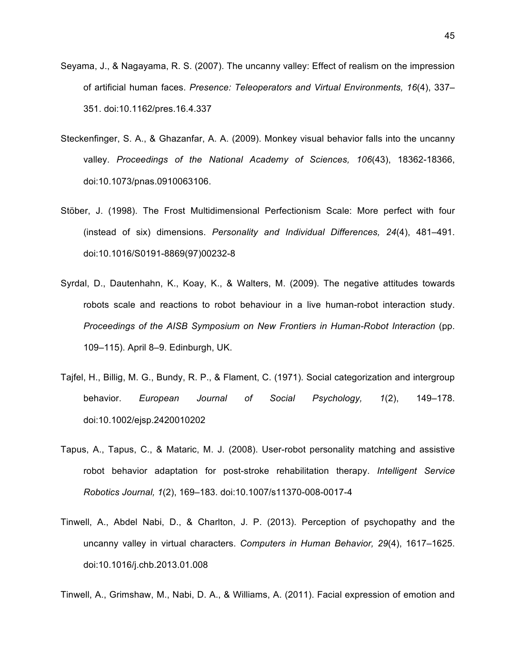- Seyama, J., & Nagayama, R. S. (2007). The uncanny valley: Effect of realism on the impression of artificial human faces. *Presence: Teleoperators and Virtual Environments, 16*(4), 337– 351. doi:10.1162/pres.16.4.337
- Steckenfinger, S. A., & Ghazanfar, A. A. (2009). Monkey visual behavior falls into the uncanny valley. *Proceedings of the National Academy of Sciences, 106*(43), 18362-18366, doi:10.1073/pnas.0910063106.
- Stöber, J. (1998). The Frost Multidimensional Perfectionism Scale: More perfect with four (instead of six) dimensions. *Personality and Individual Differences, 24*(4), 481–491. doi:10.1016/S0191-8869(97)00232-8
- Syrdal, D., Dautenhahn, K., Koay, K., & Walters, M. (2009). The negative attitudes towards robots scale and reactions to robot behaviour in a live human-robot interaction study. *Proceedings of the AISB Symposium on New Frontiers in Human-Robot Interaction* (pp. 109–115). April 8–9. Edinburgh, UK.
- Tajfel, H., Billig, M. G., Bundy, R. P., & Flament, C. (1971). Social categorization and intergroup behavior. *European Journal of Social Psychology, 1*(2), 149–178. doi:10.1002/ejsp.2420010202
- Tapus, A., Tapus, C., & Mataric, M. J. (2008). User-robot personality matching and assistive robot behavior adaptation for post-stroke rehabilitation therapy. *Intelligent Service Robotics Journal, 1*(2), 169–183. doi:10.1007/s11370-008-0017-4
- Tinwell, A., Abdel Nabi, D., & Charlton, J. P. (2013). Perception of psychopathy and the uncanny valley in virtual characters. *Computers in Human Behavior, 29*(4), 1617–1625. doi:10.1016/j.chb.2013.01.008

Tinwell, A., Grimshaw, M., Nabi, D. A., & Williams, A. (2011). Facial expression of emotion and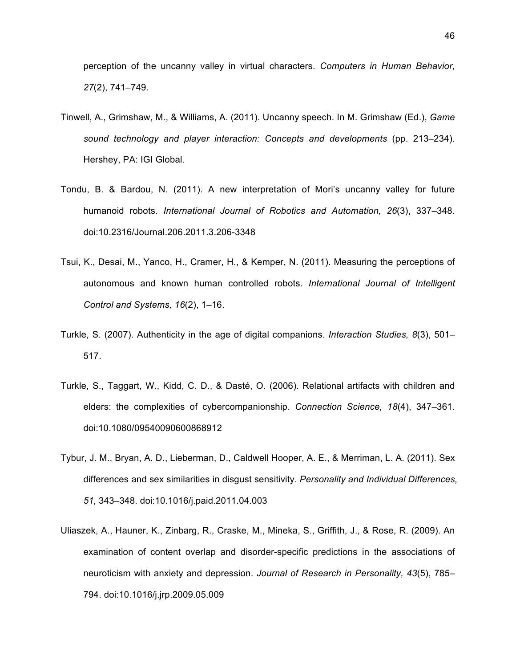perception of the uncanny valley in virtual characters. *Computers in Human Behavior*, *27*(2), 741–749.

- Tinwell, A., Grimshaw, M., & Williams, A. (2011). Uncanny speech. In M. Grimshaw (Ed.), *Game sound technology and player interaction: Concepts and developments* (pp. 213–234). Hershey, PA: IGI Global.
- Tondu, B. & Bardou, N. (2011). A new interpretation of Mori's uncanny valley for future humanoid robots. *International Journal of Robotics and Automation, 26*(3), 337–348. doi:10.2316/Journal.206.2011.3.206-3348
- Tsui, K., Desai, M., Yanco, H., Cramer, H., & Kemper, N. (2011). Measuring the perceptions of autonomous and known human controlled robots. *International Journal of Intelligent Control and Systems, 16*(2), 1–16.
- Turkle, S. (2007). Authenticity in the age of digital companions. *Interaction Studies, 8*(3), 501– 517.
- Turkle, S., Taggart, W., Kidd, C. D., & Dasté, O. (2006). Relational artifacts with children and elders: the complexities of cybercompanionship. *Connection Science, 18*(4), 347–361. doi:10.1080/09540090600868912
- Tybur, J. M., Bryan, A. D., Lieberman, D., Caldwell Hooper, A. E., & Merriman, L. A. (2011). Sex differences and sex similarities in disgust sensitivity. *Personality and Individual Differences, 51,* 343–348. doi:10.1016/j.paid.2011.04.003
- Uliaszek, A., Hauner, K., Zinbarg, R., Craske, M., Mineka, S., Griffith, J., & Rose, R. (2009). An examination of content overlap and disorder-specific predictions in the associations of neuroticism with anxiety and depression. *Journal of Research in Personality, 43*(5), 785– 794. doi:10.1016/j.jrp.2009.05.009